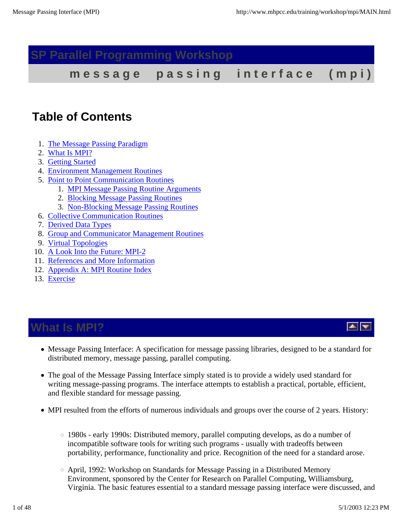### **SP Parallel Programming Workshop**

message passing interface (mpi)

### **Table of Contents**

- 1. The Message Passing Paradigm
- 2. What Is MPI?
- 3. Getting Started
- 4. Environment Management Routines
- 5. Point to Point Communication Routines
	- 1. MPI Message Passing Routine Arguments
	- 2. Blocking Message Passing Routines
	- 3. Non-Blocking Message Passing Routines
- 6. Collective Communication Routines
- 7. Derived Data Types
- 8. Group and Communicator Management Routines
- 9. Virtual Topologies
- 10. A Look Into the Future: MPI-2
- 11. References and More Information
- 12. Appendix A: MPI Routine Index
- 13. Exercise

### **What Is MPI?**

- Message Passing Interface: A specification for message passing libraries, designed to be a standard for distributed memory, message passing, parallel computing.
- The goal of the Message Passing Interface simply stated is to provide a widely used standard for writing message-passing programs. The interface attempts to establish a practical, portable, efficient, and flexible standard for message passing.
- MPI resulted from the efforts of numerous individuals and groups over the course of 2 years. History:
	- 1980s early 1990s: Distributed memory, parallel computing develops, as do a number of incompatible software tools for writing such programs - usually with tradeoffs between portability, performance, functionality and price. Recognition of the need for a standard arose.
	- $\circ$  April, 1992: Workshop on Standards for Message Passing in a Distributed Memory Environment, sponsored by the Center for Research on Parallel Computing, Williamsburg, Virginia. The basic features essential to a standard message passing interface were discussed, and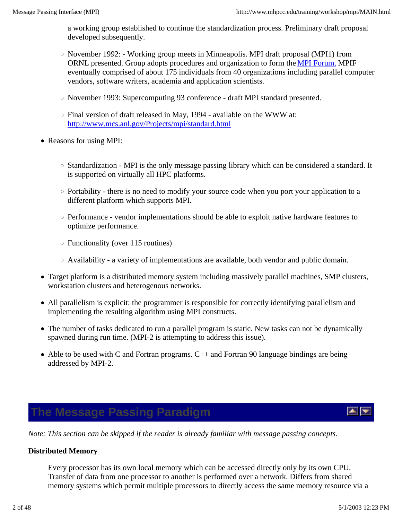a working group established to continue the standardization process. Preliminary draft proposal developed subsequently.

- November 1992: Working group meets in Minneapolis. MPI draft proposal (MPI1) from ORNL presented. Group adopts procedures and organization to form the MPI Forum. MPIF eventually comprised of about 175 individuals from 40 organizations including parallel computer vendors, software writers, academia and application scientists.
- $\circ$  November 1993: Supercomputing 93 conference draft MPI standard presented.
- $\circ$  Final version of draft released in May, 1994 available on the WWW at: http://www.mcs.anl.gov/Projects/mpi/standard.html
- Reasons for using MPI:
	- Standardization MPI is the only message passing library which can be considered a standard. It is supported on virtually all HPC platforms.
	- Portability there is no need to modify your source code when you port your application to a different platform which supports MPI.
	- $\circ$  Performance vendor implementations should be able to exploit native hardware features to optimize performance.
	- Functionality (over 115 routines)
	- Availability a variety of implementations are available, both vendor and public domain.
- Target platform is a distributed memory system including massively parallel machines, SMP clusters, workstation clusters and heterogenous networks.
- All parallelism is explicit: the programmer is responsible for correctly identifying parallelism and implementing the resulting algorithm using MPI constructs.
- The number of tasks dedicated to run a parallel program is static. New tasks can not be dynamically spawned during run time. (MPI-2 is attempting to address this issue).
- Able to be used with C and Fortran programs. C++ and Fortran 90 language bindings are being addressed by MPI-2.

### **The Message Passing Paradigm**

*Note: This section can be skipped if the reader is already familiar with message passing concepts.*

#### **Distributed Memory**

Every processor has its own local memory which can be accessed directly only by its own CPU. Transfer of data from one processor to another is performed over a network. Differs from shared memory systems which permit multiple processors to directly access the same memory resource via a

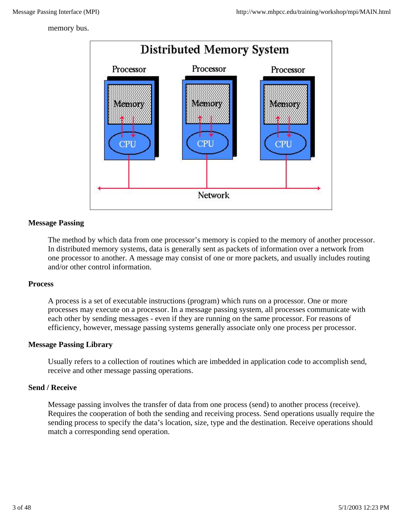memory bus.



#### **Message Passing**

The method by which data from one processor's memory is copied to the memory of another processor. In distributed memory systems, data is generally sent as packets of information over a network from one processor to another. A message may consist of one or more packets, and usually includes routing and/or other control information.

#### **Process**

A process is a set of executable instructions (program) which runs on a processor. One or more processes may execute on a processor. In a message passing system, all processes communicate with each other by sending messages - even if they are running on the same processor. For reasons of efficiency, however, message passing systems generally associate only one process per processor.

#### **Message Passing Library**

Usually refers to a collection of routines which are imbedded in application code to accomplish send, receive and other message passing operations.

#### **Send / Receive**

Message passing involves the transfer of data from one process (send) to another process (receive). Requires the cooperation of both the sending and receiving process. Send operations usually require the sending process to specify the data's location, size, type and the destination. Receive operations should match a corresponding send operation.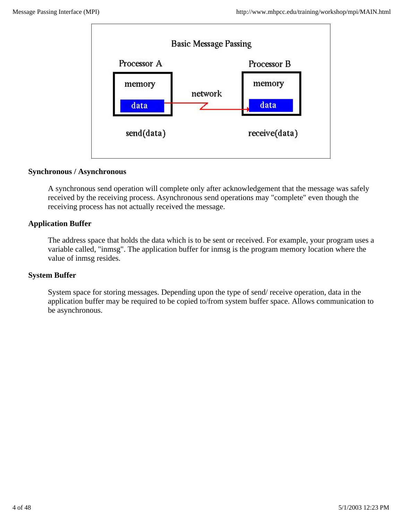

#### **Synchronous / Asynchronous**

A synchronous send operation will complete only after acknowledgement that the message was safely received by the receiving process. Asynchronous send operations may "complete" even though the receiving process has not actually received the message.

#### **Application Buffer**

The address space that holds the data which is to be sent or received. For example, your program uses a variable called, "inmsg". The application buffer for inmsg is the program memory location where the value of inmsg resides.

#### **System Buffer**

System space for storing messages. Depending upon the type of send/ receive operation, data in the application buffer may be required to be copied to/from system buffer space. Allows communication to be asynchronous.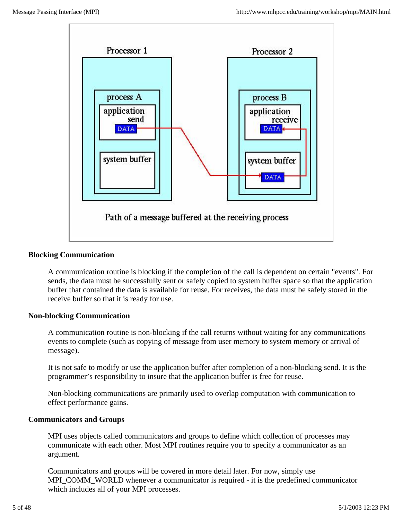

#### **Blocking Communication**

A communication routine is blocking if the completion of the call is dependent on certain "events". For sends, the data must be successfully sent or safely copied to system buffer space so that the application buffer that contained the data is available for reuse. For receives, the data must be safely stored in the receive buffer so that it is ready for use.

#### **Non-blocking Communication**

A communication routine is non-blocking if the call returns without waiting for any communications events to complete (such as copying of message from user memory to system memory or arrival of message).

It is not safe to modify or use the application buffer after completion of a non-blocking send. It is the programmer's responsibility to insure that the application buffer is free for reuse.

Non-blocking communications are primarily used to overlap computation with communication to effect performance gains.

#### **Communicators and Groups**

MPI uses objects called communicators and groups to define which collection of processes may communicate with each other. Most MPI routines require you to specify a communicator as an argument.

Communicators and groups will be covered in more detail later. For now, simply use MPI\_COMM\_WORLD whenever a communicator is required - it is the predefined communicator which includes all of your MPI processes.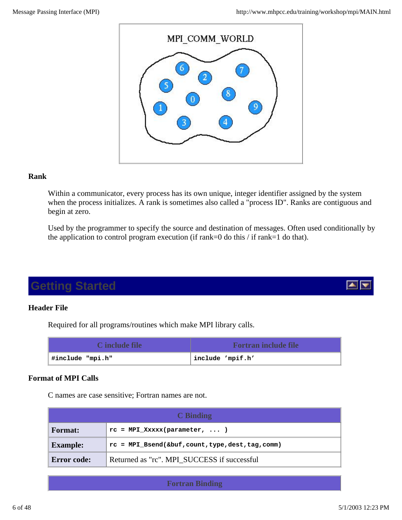

#### **Rank**

Within a communicator, every process has its own unique, integer identifier assigned by the system when the process initializes. A rank is sometimes also called a "process ID". Ranks are contiguous and begin at zero.

Used by the programmer to specify the source and destination of messages. Often used conditionally by the application to control program execution (if rank=0 do this / if rank=1 do that).

## **Getting Started**

#### **Header File**

Required for all programs/routines which make MPI library calls.

| C include file   | <b>Fortran include file</b> |
|------------------|-----------------------------|
| #include "mpi.h" | include 'mpif.h'            |

#### **Format of MPI Calls**

C names are case sensitive; Fortran names are not.

|                    | C Binding                                            |
|--------------------|------------------------------------------------------|
| <b>Format:</b>     | $rc = MPI XXXX(parameter,  )$                        |
| <b>Example:</b>    | $rc = MPI$ Bsend(&buf, count, type, dest, tag, comm) |
| <b>Error code:</b> | Returned as "rc". MPI SUCCESS if successful          |

**Fortran Binding**

▴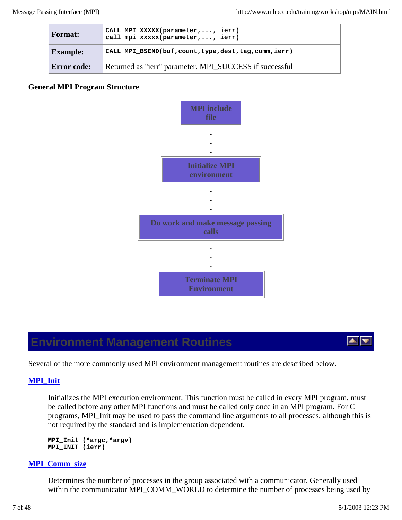| <b>Format:</b>  | CALL MPI_XXXXX(parameter,, ierr)<br>call mpi_xxxxx(parameter,, ierr) |
|-----------------|----------------------------------------------------------------------|
| <b>Example:</b> | CALL MPI_BSEND(buf, count, type, dest, tag, comm, ierr)              |
| Error code:     | Returned as "ierr" parameter. MPI_SUCCESS if successful              |

#### **General MPI Program Structure**



### **Environment Management Routines**



Several of the more commonly used MPI environment management routines are described below.

#### **MPI\_Init**

Initializes the MPI execution environment. This function must be called in every MPI program, must be called before any other MPI functions and must be called only once in an MPI program. For C programs, MPI\_Init may be used to pass the command line arguments to all processes, although this is not required by the standard and is implementation dependent.

```
MPI_Init (*argc,*argv) 
MPI_INIT (ierr)
```
#### **MPI\_Comm\_size**

Determines the number of processes in the group associated with a communicator. Generally used within the communicator MPI\_COMM\_WORLD to determine the number of processes being used by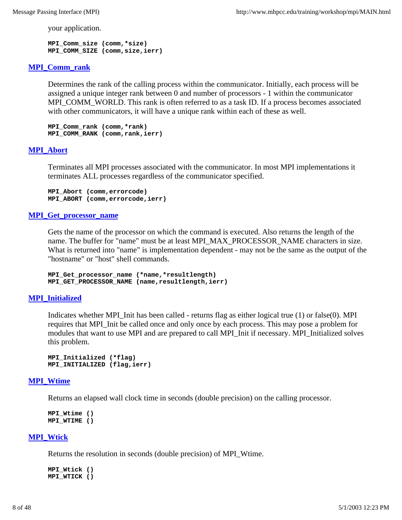your application.

**MPI\_Comm\_size (comm,\*size) MPI\_COMM\_SIZE (comm,size,ierr)**

#### **MPI\_Comm\_rank**

Determines the rank of the calling process within the communicator. Initially, each process will be assigned a unique integer rank between 0 and number of processors - 1 within the communicator MPI\_COMM\_WORLD. This rank is often referred to as a task ID. If a process becomes associated with other communicators, it will have a unique rank within each of these as well.

**MPI\_Comm\_rank (comm,\*rank) MPI\_COMM\_RANK (comm,rank,ierr)**

#### **MPI\_Abort**

Terminates all MPI processes associated with the communicator. In most MPI implementations it terminates ALL processes regardless of the communicator specified.

```
MPI_Abort (comm,errorcode)
MPI_ABORT (comm,errorcode,ierr)
```
#### **MPI\_Get\_processor\_name**

Gets the name of the processor on which the command is executed. Also returns the length of the name. The buffer for "name" must be at least MPI\_MAX\_PROCESSOR\_NAME characters in size. What is returned into "name" is implementation dependent - may not be the same as the output of the "hostname" or "host" shell commands.

**MPI\_Get\_processor\_name (\*name,\*resultlength) MPI\_GET\_PROCESSOR\_NAME (name,resultlength,ierr)**

#### **MPI\_Initialized**

Indicates whether MPI\_Init has been called - returns flag as either logical true (1) or false(0). MPI requires that MPI\_Init be called once and only once by each process. This may pose a problem for modules that want to use MPI and are prepared to call MPI\_Init if necessary. MPI\_Initialized solves this problem.

```
MPI_Initialized (*flag) 
MPI_INITIALIZED (flag,ierr)
```
#### **MPI\_Wtime**

Returns an elapsed wall clock time in seconds (double precision) on the calling processor.

**MPI\_Wtime () MPI\_WTIME ()**

#### **MPI\_Wtick**

Returns the resolution in seconds (double precision) of MPI\_Wtime.

**MPI\_Wtick () MPI\_WTICK ()**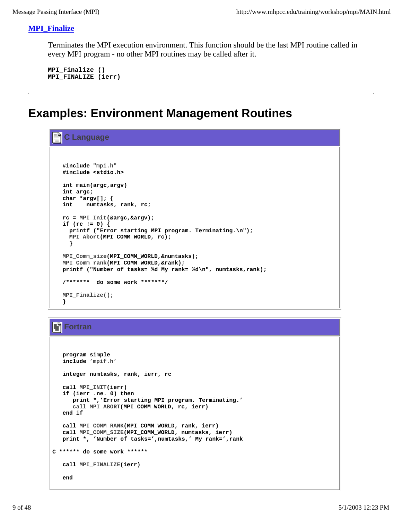#### **MPI\_Finalize**

Terminates the MPI execution environment. This function should be the last MPI routine called in every MPI program - no other MPI routines may be called after it.

**MPI\_Finalize () MPI\_FINALIZE (ierr)**

### **Examples: Environment Management Routines**

```
≣أ
   C Language
   #include "mpi.h"
   #include <stdio.h>
   int main(argc,argv)
   int argc;
   char *argv[]; {
   int numtasks, rank, rc; 
   rc = MPI_Init(&argc,&argv);
   if (rc != 0) {
     printf ("Error starting MPI program. Terminating.\n");
     MPI_Abort(MPI_COMM_WORLD, rc);
     }
   MPI_Comm_size(MPI_COMM_WORLD,&numtasks);
  MPI_Comm_rank(MPI_COMM_WORLD,&rank);
   printf ("Number of tasks= %d My rank= %d\n", numtasks,rank);
   /******* do some work *******/
   MPI_Finalize();
   }
```
### **Fortran**

```
 program simple
    include 'mpif.h'
   integer numtasks, rank, ierr, rc
   call MPI_INIT(ierr)
   if (ierr .ne. 0) then
      print *,'Error starting MPI program. Terminating.'
       call MPI_ABORT(MPI_COMM_WORLD, rc, ierr)
   end if
   call MPI_COMM_RANK(MPI_COMM_WORLD, rank, ierr)
   call MPI_COMM_SIZE(MPI_COMM_WORLD, numtasks, ierr)
   print *, 'Number of tasks=',numtasks,' My rank=',rank
C ****** do some work ******
   call MPI_FINALIZE(ierr)
    end
```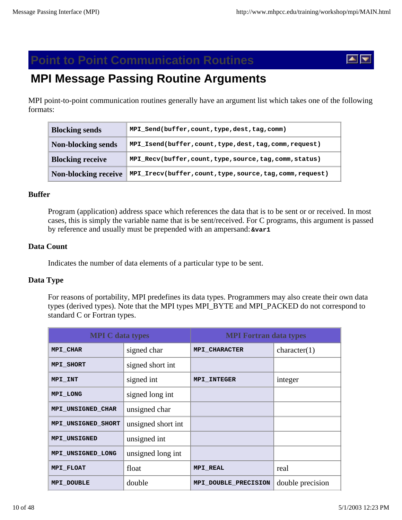### **Point to Point Communication Routines**



# **MPI Message Passing Routine Arguments**

MPI point-to-point communication routines generally have an argument list which takes one of the following formats:

| <b>Blocking sends</b>   | MPI Send(buffer, count, type, dest, tag, comm)           |
|-------------------------|----------------------------------------------------------|
| Non-blocking sends      | MPI_Isend(buffer, count, type, dest, tag, comm, request) |
| <b>Blocking receive</b> | MPI_Recv(buffer, count, type, source, tag, comm, status) |
| Non-blocking receive    | MPI_Irecv(buffer,count,type,source,tag,comm,request)     |

#### **Buffer**

Program (application) address space which references the data that is to be sent or or received. In most cases, this is simply the variable name that is be sent/received. For C programs, this argument is passed by reference and usually must be prepended with an ampersand: **&var1** 

#### **Data Count**

Indicates the number of data elements of a particular type to be sent.

#### **Data Type**

For reasons of portability, MPI predefines its data types. Programmers may also create their own data types (derived types). Note that the MPI types MPI\_BYTE and MPI\_PACKED do not correspond to standard C or Fortran types.

| <b>MPI C</b> data types |                    | <b>MPI Fortran data types</b> |                  |
|-------------------------|--------------------|-------------------------------|------------------|
| MPI CHAR                | signed char        | <b>MPI CHARACTER</b>          | character(1)     |
| MPI SHORT               | signed short int   |                               |                  |
| MPI_INT                 | signed int         | <b>MPI INTEGER</b>            | integer          |
| MPI LONG                | signed long int    |                               |                  |
| MPI UNSIGNED CHAR       | unsigned char      |                               |                  |
| MPI UNSIGNED SHORT      | unsigned short int |                               |                  |
| MPI UNSIGNED            | unsigned int       |                               |                  |
| MPI UNSIGNED LONG       | unsigned long int  |                               |                  |
| MPI FLOAT               | float              | <b>MPI REAL</b>               | real             |
| <b>MPI DOUBLE</b>       | double             | MPI DOUBLE PRECISION          | double precision |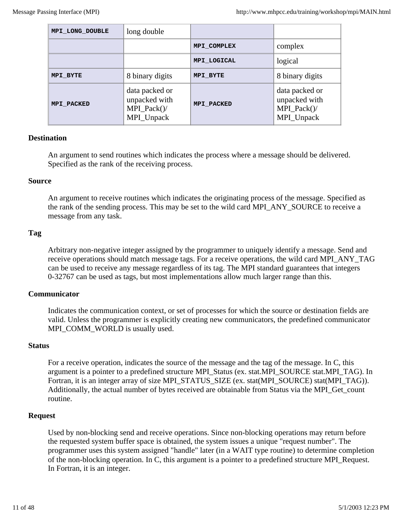| MPI LONG DOUBLE   | long double                                                    |                   |                                                                |
|-------------------|----------------------------------------------------------------|-------------------|----------------------------------------------------------------|
|                   |                                                                | MPI COMPLEX       | complex                                                        |
|                   |                                                                | MPI LOGICAL       | logical                                                        |
| MPI BYTE          | 8 binary digits                                                | MPI BYTE          | 8 binary digits                                                |
| <b>MPI PACKED</b> | data packed or<br>unpacked with<br>$MPI\_Pack()$<br>MPI_Unpack | <b>MPI PACKED</b> | data packed or<br>unpacked with<br>$MPI\_Pack()$<br>MPI_Unpack |

#### **Destination**

An argument to send routines which indicates the process where a message should be delivered. Specified as the rank of the receiving process.

#### **Source**

An argument to receive routines which indicates the originating process of the message. Specified as the rank of the sending process. This may be set to the wild card MPI\_ANY\_SOURCE to receive a message from any task.

#### **Tag**

Arbitrary non-negative integer assigned by the programmer to uniquely identify a message. Send and receive operations should match message tags. For a receive operations, the wild card MPI\_ANY\_TAG can be used to receive any message regardless of its tag. The MPI standard guarantees that integers 0-32767 can be used as tags, but most implementations allow much larger range than this.

#### **Communicator**

Indicates the communication context, or set of processes for which the source or destination fields are valid. Unless the programmer is explicitly creating new communicators, the predefined communicator MPI\_COMM\_WORLD is usually used.

#### **Status**

For a receive operation, indicates the source of the message and the tag of the message. In C, this argument is a pointer to a predefined structure MPI\_Status (ex. stat.MPI\_SOURCE stat.MPI\_TAG). In Fortran, it is an integer array of size MPI\_STATUS\_SIZE (ex. stat(MPI\_SOURCE) stat(MPI\_TAG)). Additionally, the actual number of bytes received are obtainable from Status via the MPI\_Get\_count routine.

#### **Request**

Used by non-blocking send and receive operations. Since non-blocking operations may return before the requested system buffer space is obtained, the system issues a unique "request number". The programmer uses this system assigned "handle" later (in a WAIT type routine) to determine completion of the non-blocking operation. In C, this argument is a pointer to a predefined structure MPI\_Request. In Fortran, it is an integer.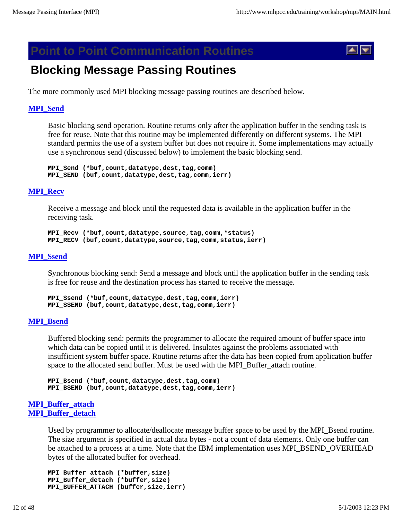### **Point to Point Communication Routines**



### **Blocking Message Passing Routines**

The more commonly used MPI blocking message passing routines are described below.

#### **MPI\_Send**

Basic blocking send operation. Routine returns only after the application buffer in the sending task is free for reuse. Note that this routine may be implemented differently on different systems. The MPI standard permits the use of a system buffer but does not require it. Some implementations may actually use a synchronous send (discussed below) to implement the basic blocking send.

**MPI\_Send (\*buf,count,datatype,dest,tag,comm) MPI\_SEND (buf,count,datatype,dest,tag,comm,ierr)**

#### **MPI\_Recv**

Receive a message and block until the requested data is available in the application buffer in the receiving task.

**MPI\_Recv (\*buf,count,datatype,source,tag,comm,\*status) MPI\_RECV (buf,count,datatype,source,tag,comm,status,ierr)**

#### **MPI\_Ssend**

Synchronous blocking send: Send a message and block until the application buffer in the sending task is free for reuse and the destination process has started to receive the message.

**MPI\_Ssend (\*buf,count,datatype,dest,tag,comm,ierr) MPI\_SSEND (buf,count,datatype,dest,tag,comm,ierr)**

#### **MPI\_Bsend**

Buffered blocking send: permits the programmer to allocate the required amount of buffer space into which data can be copied until it is delivered. Insulates against the problems associated with insufficient system buffer space. Routine returns after the data has been copied from application buffer space to the allocated send buffer. Must be used with the MPI\_Buffer\_attach routine.

```
MPI_Bsend (*buf,count,datatype,dest,tag,comm) 
MPI_BSEND (buf,count,datatype,dest,tag,comm,ierr)
```
#### **MPI\_Buffer\_attach MPI\_Buffer\_detach**

Used by programmer to allocate/deallocate message buffer space to be used by the MPI\_Bsend routine. The size argument is specified in actual data bytes - not a count of data elements. Only one buffer can be attached to a process at a time. Note that the IBM implementation uses MPI\_BSEND\_OVERHEAD bytes of the allocated buffer for overhead.

```
MPI_Buffer_attach (*buffer,size) 
MPI_Buffer_detach (*buffer,size) 
MPI_BUFFER_ATTACH (buffer,size,ierr)
```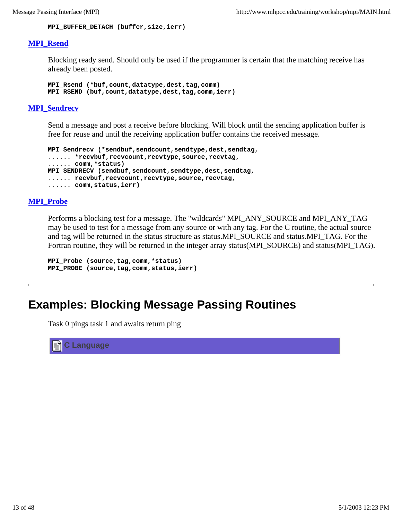**MPI\_BUFFER\_DETACH (buffer,size,ierr)**

#### **MPI\_Rsend**

Blocking ready send. Should only be used if the programmer is certain that the matching receive has already been posted.

**MPI\_Rsend (\*buf,count,datatype,dest,tag,comm) MPI\_RSEND (buf,count,datatype,dest,tag,comm,ierr)**

#### **MPI\_Sendrecv**

Send a message and post a receive before blocking. Will block until the sending application buffer is free for reuse and until the receiving application buffer contains the received message.

```
MPI_Sendrecv (*sendbuf,sendcount,sendtype,dest,sendtag, 
...... *recvbuf,recvcount,recvtype,source,recvtag, 
...... comm,*status) 
MPI_SENDRECV (sendbuf,sendcount,sendtype,dest,sendtag, 
...... recvbuf,recvcount,recvtype,source,recvtag, 
...... comm,status,ierr)
```
#### **MPI\_Probe**

Performs a blocking test for a message. The "wildcards" MPI\_ANY\_SOURCE and MPI\_ANY\_TAG may be used to test for a message from any source or with any tag. For the C routine, the actual source and tag will be returned in the status structure as status.MPI\_SOURCE and status.MPI\_TAG. For the Fortran routine, they will be returned in the integer array status(MPI\_SOURCE) and status(MPI\_TAG).

```
MPI_Probe (source,tag,comm,*status) 
MPI_PROBE (source,tag,comm,status,ierr)
```
### **Examples: Blocking Message Passing Routines**

Task 0 pings task 1 and awaits return ping

**C Language**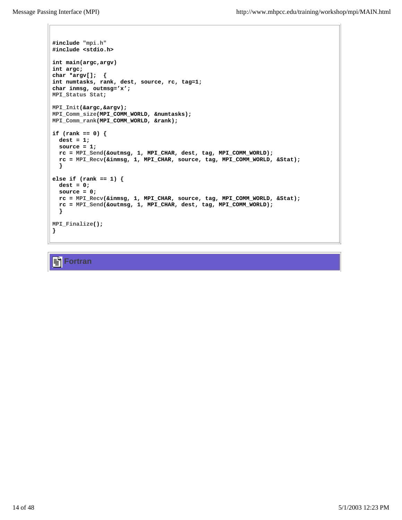```
#include "mpi.h"
#include <stdio.h>
int main(argc,argv) 
int argc;
char *argv[]; {
int numtasks, rank, dest, source, rc, tag=1; 
char inmsg, outmsg='x';
MPI_Status Stat;
MPI_Init(&argc,&argv);
MPI_Comm_size(MPI_COMM_WORLD, &numtasks);
MPI_Comm_rank(MPI_COMM_WORLD, &rank);
if (rank == 0) {
  dest = 1;
  source = 1;
  rc = MPI_Send(&outmsg, 1, MPI_CHAR, dest, tag, MPI_COMM_WORLD);
  rc = MPI_Recv(&inmsg, 1, MPI_CHAR, source, tag, MPI_COMM_WORLD, &Stat);
  } 
else if (rank == 1) {
  dest = 0;
  source = 0;
  rc = MPI_Recv(&inmsg, 1, MPI_CHAR, source, tag, MPI_COMM_WORLD, &Stat);
  rc = MPI_Send(&outmsg, 1, MPI_CHAR, dest, tag, MPI_COMM_WORLD);
  }
MPI_Finalize();
}
```
#### ¶≣ **Fortran**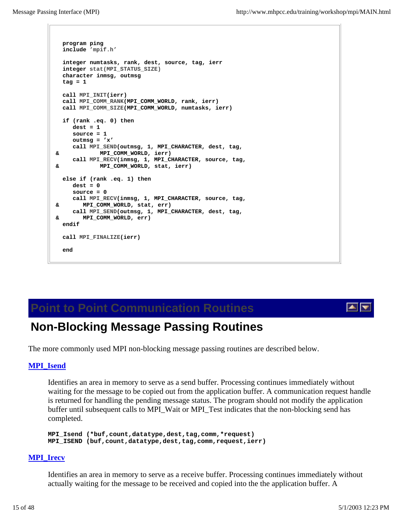```
 program ping
   include 'mpif.h'
  integer numtasks, rank, dest, source, tag, ierr
   integer stat(MPI_STATUS_SIZE)
   character inmsg, outmsg
 \text{taq} = 1 call MPI_INIT(ierr)
   call MPI_COMM_RANK(MPI_COMM_WORLD, rank, ierr)
  call MPI_COMM_SIZE(MPI_COMM_WORLD, numtasks, ierr)
   if (rank .eq. 0) then
      dest = 1
     source = 1
     outmsg = 'x'
     call MPI_SEND(outmsg, 1, MPI_CHARACTER, dest, tag, 
 & MPI_COMM_WORLD, ierr)
     call MPI_RECV(inmsg, 1, MPI_CHARACTER, source, tag, 
 & MPI_COMM_WORLD, stat, ierr)
  else if (rank .eq. 1) then
     dest = 0
     source = 0
     call MPI_RECV(inmsg, 1, MPI_CHARACTER, source, tag, 
 & MPI_COMM_WORLD, stat, err)
     call MPI_SEND(outmsg, 1, MPI_CHARACTER, dest, tag, 
 & MPI_COMM_WORLD, err)
   endif
   call MPI_FINALIZE(ierr)
   end
```
### **Point to Point Communication Routines**

### **Non-Blocking Message Passing Routines**

The more commonly used MPI non-blocking message passing routines are described below.

#### **MPI\_Isend**

Identifies an area in memory to serve as a send buffer. Processing continues immediately without waiting for the message to be copied out from the application buffer. A communication request handle is returned for handling the pending message status. The program should not modify the application buffer until subsequent calls to MPI\_Wait or MPI\_Test indicates that the non-blocking send has completed.

**MPI\_Isend (\*buf,count,datatype,dest,tag,comm,\*request) MPI\_ISEND (buf,count,datatype,dest,tag,comm,request,ierr)**

#### **MPI\_Irecv**

Identifies an area in memory to serve as a receive buffer. Processing continues immediately without actually waiting for the message to be received and copied into the the application buffer. A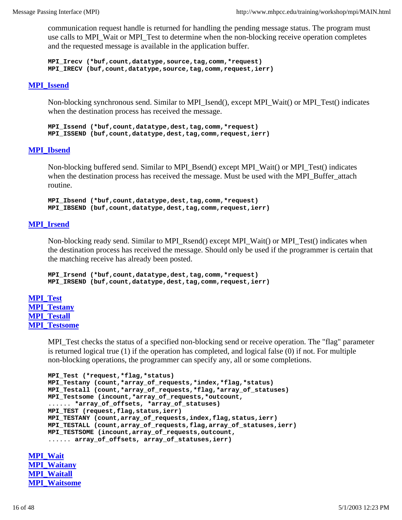communication request handle is returned for handling the pending message status. The program must use calls to MPI\_Wait or MPI\_Test to determine when the non-blocking receive operation completes and the requested message is available in the application buffer.

**MPI\_Irecv (\*buf,count,datatype,source,tag,comm,\*request) MPI\_IRECV (buf,count,datatype,source,tag,comm,request,ierr)**

#### **MPI\_Issend**

Non-blocking synchronous send. Similar to MPI\_Isend(), except MPI\_Wait() or MPI\_Test() indicates when the destination process has received the message.

**MPI\_Issend (\*buf,count,datatype,dest,tag,comm,\*request) MPI\_ISSEND (buf,count,datatype,dest,tag,comm,request,ierr)**

#### **MPI\_Ibsend**

Non-blocking buffered send. Similar to MPI\_Bsend() except MPI\_Wait() or MPI\_Test() indicates when the destination process has received the message. Must be used with the MPI\_Buffer\_attach routine.

**MPI\_Ibsend (\*buf,count,datatype,dest,tag,comm,\*request) MPI\_IBSEND (buf,count,datatype,dest,tag,comm,request,ierr)**

#### **MPI\_Irsend**

Non-blocking ready send. Similar to MPI\_Rsend() except MPI\_Wait() or MPI\_Test() indicates when the destination process has received the message. Should only be used if the programmer is certain that the matching receive has already been posted.

```
MPI_Irsend (*buf,count,datatype,dest,tag,comm,*request) 
MPI_IRSEND (buf,count,datatype,dest,tag,comm,request,ierr)
```
**MPI\_Test MPI\_Testany MPI\_Testall MPI\_Testsome**

> MPI\_Test checks the status of a specified non-blocking send or receive operation. The "flag" parameter is returned logical true (1) if the operation has completed, and logical false (0) if not. For multiple non-blocking operations, the programmer can specify any, all or some completions.

```
MPI_Test (*request,*flag,*status) 
MPI_Testany (count,*array_of_requests,*index,*flag,*status)
MPI_Testall (count,*array_of_requests,*flag,*array_of_statuses)
MPI_Testsome (incount,*array_of_requests,*outcount,
...... *array_of_offsets, *array_of_statuses)
MPI_TEST (request,flag,status,ierr)
MPI_TESTANY (count,array_of_requests,index,flag,status,ierr)
MPI_TESTALL (count,array_of_requests,flag,array_of_statuses,ierr)
MPI_TESTSOME (incount,array_of_requests,outcount,
...... array_of_offsets, array_of_statuses,ierr)
```
**MPI\_Wait MPI\_Waitany MPI\_Waitall MPI\_Waitsome**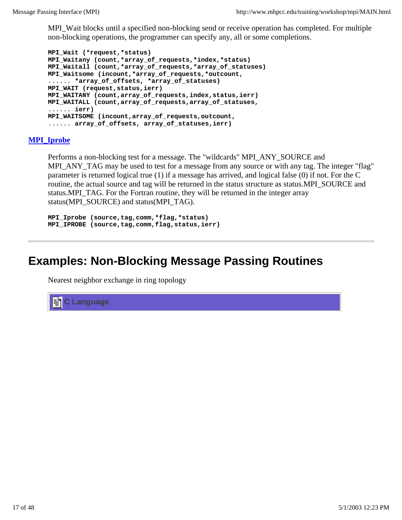MPI\_Wait blocks until a specified non-blocking send or receive operation has completed. For multiple non-blocking operations, the programmer can specify any, all or some completions.

```
MPI_Wait (*request,*status) 
MPI_Waitany (count,*array_of_requests,*index,*status) 
MPI_Waitall (count,*array_of_requests,*array_of_statuses) 
MPI_Waitsome (incount,*array_of_requests,*outcount, 
...... *array_of_offsets, *array_of_statuses) 
MPI_WAIT (request,status,ierr) 
MPI_WAITANY (count,array_of_requests,index,status,ierr) 
MPI_WAITALL (count,array_of_requests,array_of_statuses, 
...... ierr) 
MPI_WAITSOME (incount,array_of_requests,outcount, 
...... array_of_offsets, array_of_statuses,ierr)
```
#### **MPI\_Iprobe**

Performs a non-blocking test for a message. The "wildcards" MPI\_ANY\_SOURCE and MPI\_ANY\_TAG may be used to test for a message from any source or with any tag. The integer "flag" parameter is returned logical true (1) if a message has arrived, and logical false (0) if not. For the C routine, the actual source and tag will be returned in the status structure as status.MPI\_SOURCE and status.MPI\_TAG. For the Fortran routine, they will be returned in the integer array status(MPI\_SOURCE) and status(MPI\_TAG).

```
MPI_Iprobe (source,tag,comm,*flag,*status)
MPI_IPROBE (source,tag,comm,flag,status,ierr)
```
### **Examples: Non-Blocking Message Passing Routines**

Nearest neighbor exchange in ring topology

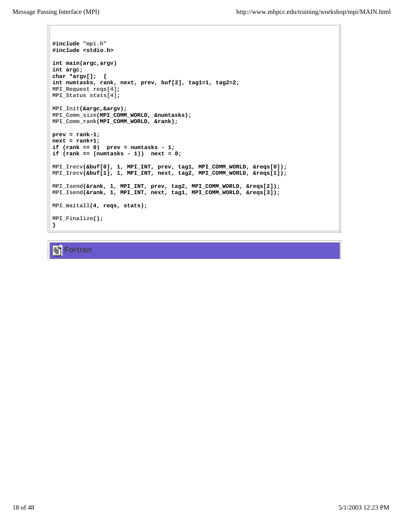```
#include "mpi.h"
#include <stdio.h>
int main(argc,argv)
int argc;
char *argv[]; {
int numtasks, rank, next, prev, buf[2], tag1=1, tag2=2;
MPI_Request reqs[4];
MPI_Status stats[4];
MPI_Init(&argc,&argv);
MPI_Comm_size(MPI_COMM_WORLD, &numtasks);
MPI_Comm_rank(MPI_COMM_WORLD, &rank);
prev = rank-1;
next = rank+1;
if (rank == 0) prev = numtasks - 1;
if (rank == (numtasks - 1)) next = 0;
MPI_Irecv(&buf[0], 1, MPI_INT, prev, tag1, MPI_COMM_WORLD, &reqs[0]);
MPI_Irecv(&buf[1], 1, MPI_INT, next, tag2, MPI_COMM_WORLD, &reqs[1]);
MPI_Isend(&rank, 1, MPI_INT, prev, tag2, MPI_COMM_WORLD, &reqs[2]);
MPI_Isend(&rank, 1, MPI_INT, next, tag1, MPI_COMM_WORLD, &reqs[3]);
MPI_Waitall(4, reqs, stats);
MPI_Finalize();
}
```
**Fortran**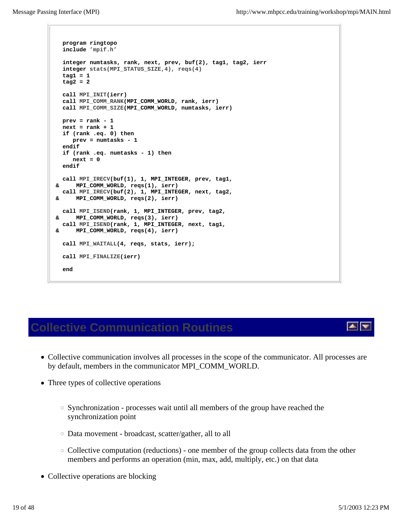```
 program ringtopo
   include 'mpif.h'
   integer numtasks, rank, next, prev, buf(2), tag1, tag2, ierr
   integer stats(MPI_STATUS_SIZE,4), reqs(4)
   tag1 = 1
   tag2 = 2
   call MPI_INIT(ierr)
   call MPI_COMM_RANK(MPI_COMM_WORLD, rank, ierr)
   call MPI_COMM_SIZE(MPI_COMM_WORLD, numtasks, ierr)
  prev = rank - 1
 next = rank + 1 if (rank .eq. 0) then
     prev = numtasks - 1
   endif
   if (rank .eq. numtasks - 1) then
     next = 0
   endif
   call MPI_IRECV(buf(1), 1, MPI_INTEGER, prev, tag1, 
 & MPI_COMM_WORLD, reqs(1), ierr)
   call MPI_IRECV(buf(2), 1, MPI_INTEGER, next, tag2, 
 & MPI_COMM_WORLD, reqs(2), ierr)
   call MPI_ISEND(rank, 1, MPI_INTEGER, prev, tag2,
 & MPI_COMM_WORLD, reqs(3), ierr)
   call MPI_ISEND(rank, 1, MPI_INTEGER, next, tag1,
 & MPI_COMM_WORLD, reqs(4), ierr)
   call MPI_WAITALL(4, reqs, stats, ierr);
   call MPI_FINALIZE(ierr)
   end
```
### **Collective Communication Routines**

- Collective communication involves all processes in the scope of the communicator. All processes are by default, members in the communicator MPI\_COMM\_WORLD.
- Three types of collective operations
	- $\circ$  Synchronization processes wait until all members of the group have reached the synchronization point
	- Data movement broadcast, scatter/gather, all to all
	- $\circ$  Collective computation (reductions) one member of the group collects data from the other members and performs an operation (min, max, add, multiply, etc.) on that data
- Collective operations are blocking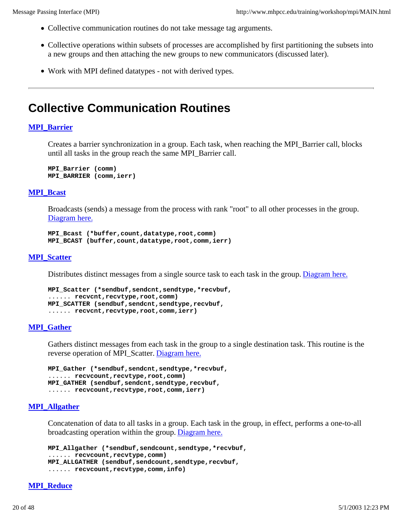- Collective communication routines do not take message tag arguments.
- Collective operations within subsets of processes are accomplished by first partitioning the subsets into a new groups and then attaching the new groups to new communicators (discussed later).
- Work with MPI defined datatypes not with derived types.

### **Collective Communication Routines**

#### **MPI\_Barrier**

Creates a barrier synchronization in a group. Each task, when reaching the MPI\_Barrier call, blocks until all tasks in the group reach the same MPI\_Barrier call.

**MPI\_Barrier (comm) MPI\_BARRIER (comm,ierr)**

#### **MPI\_Bcast**

Broadcasts (sends) a message from the process with rank "root" to all other processes in the group. Diagram here.

```
MPI_Bcast (*buffer,count,datatype,root,comm) 
MPI_BCAST (buffer,count,datatype,root,comm,ierr)
```
#### **MPI\_Scatter**

Distributes distinct messages from a single source task to each task in the group. Diagram here.

```
MPI_Scatter (*sendbuf,sendcnt,sendtype,*recvbuf, 
...... recvcnt,recvtype,root,comm) 
MPI_SCATTER (sendbuf,sendcnt,sendtype,recvbuf, 
...... recvcnt,recvtype,root,comm,ierr)
```
#### **MPI\_Gather**

Gathers distinct messages from each task in the group to a single destination task. This routine is the reverse operation of MPI\_Scatter. Diagram here.

```
MPI_Gather (*sendbuf,sendcnt,sendtype,*recvbuf, 
...... recvcount,recvtype,root,comm) 
MPI_GATHER (sendbuf,sendcnt,sendtype,recvbuf, 
...... recvcount,recvtype,root,comm,ierr)
```
#### **MPI\_Allgather**

Concatenation of data to all tasks in a group. Each task in the group, in effect, performs a one-to-all broadcasting operation within the group. Diagram here.

```
MPI_Allgather (*sendbuf,sendcount,sendtype,*recvbuf, 
...... recvcount,recvtype,comm) 
MPI_ALLGATHER (sendbuf,sendcount,sendtype,recvbuf, 
...... recvcount,recvtype,comm,info)
```
#### **MPI\_Reduce**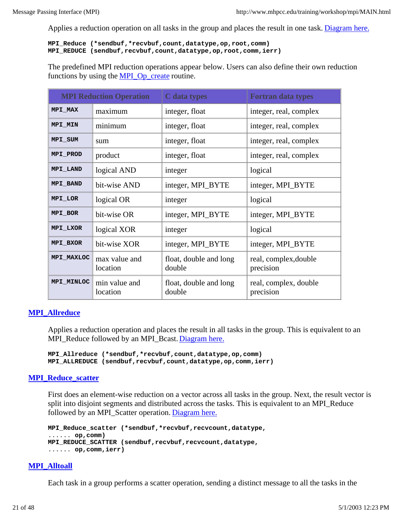Applies a reduction operation on all tasks in the group and places the result in one task. Diagram here.

#### **MPI\_Reduce (\*sendbuf,\*recvbuf,count,datatype,op,root,comm) MPI\_REDUCE (sendbuf,recvbuf,count,datatype,op,root,comm,ierr)**

The predefined MPI reduction operations appear below. Users can also define their own reduction functions by using the MPI\_Op\_create routine.

|                | <b>MPI Reduction Operation</b> | C data types                     | <b>Fortran data types</b>          |
|----------------|--------------------------------|----------------------------------|------------------------------------|
| MPI MAX        | maximum                        | integer, float                   | integer, real, complex             |
| <b>MPI MIN</b> | minimum                        | integer, float                   | integer, real, complex             |
| MPI SUM        | sum                            | integer, float                   | integer, real, complex             |
| MPI PROD       | product                        | integer, float                   | integer, real, complex             |
| MPI LAND       | logical AND                    | integer                          | logical                            |
| MPI BAND       | bit-wise AND                   | integer, MPI_BYTE                | integer, MPI_BYTE                  |
| MPI LOR        | logical OR                     | integer                          | logical                            |
| MPI BOR        | bit-wise OR                    | integer, MPI_BYTE                | integer, MPI_BYTE                  |
| MPI LXOR       | logical XOR                    | integer                          | logical                            |
| MPI BXOR       | bit-wise XOR                   | integer, MPI_BYTE                | integer, MPI_BYTE                  |
| MPI MAXLOC     | max value and<br>location      | float, double and long<br>double | real, complex, double<br>precision |
| MPI MINLOC     | min value and<br>location      | float, double and long<br>double | real, complex, double<br>precision |

#### **MPI\_Allreduce**

Applies a reduction operation and places the result in all tasks in the group. This is equivalent to an MPI\_Reduce followed by an MPI\_Bcast. Diagram here.

**MPI\_Allreduce (\*sendbuf,\*recvbuf,count,datatype,op,comm) MPI\_ALLREDUCE (sendbuf,recvbuf,count,datatype,op,comm,ierr)**

#### **MPI\_Reduce\_scatter**

First does an element-wise reduction on a vector across all tasks in the group. Next, the result vector is split into disjoint segments and distributed across the tasks. This is equivalent to an MPI\_Reduce followed by an MPI Scatter operation. Diagram here.

```
MPI_Reduce_scatter (*sendbuf,*recvbuf,recvcount,datatype, 
...... op,comm) 
MPI_REDUCE_SCATTER (sendbuf,recvbuf,recvcount,datatype, 
...... op,comm,ierr)
```
#### **MPI\_Alltoall**

Each task in a group performs a scatter operation, sending a distinct message to all the tasks in the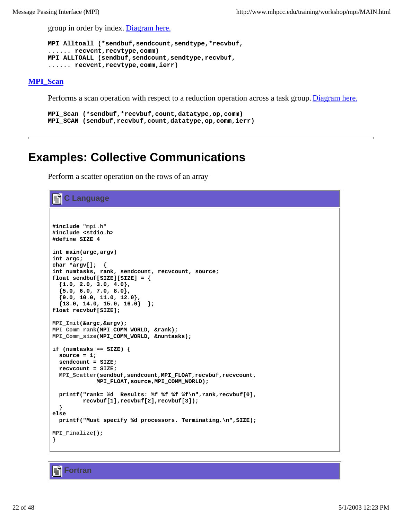group in order by index. Diagram here.

```
MPI_Alltoall (*sendbuf,sendcount,sendtype,*recvbuf, 
...... recvcnt,recvtype,comm) 
MPI_ALLTOALL (sendbuf,sendcount,sendtype,recvbuf, 
...... recvcnt,recvtype,comm,ierr)
```
#### **MPI\_Scan**

Performs a scan operation with respect to a reduction operation across a task group. Diagram here.

```
MPI_Scan (*sendbuf,*recvbuf,count,datatype,op,comm) 
MPI_SCAN (sendbuf,recvbuf,count,datatype,op,comm,ierr)
```
### **Examples: Collective Communications**

Perform a scatter operation on the rows of an array

```
C Language
#include "mpi.h"
#include <stdio.h>
#define SIZE 4
int main(argc,argv)
int argc;
char *argv[]; {
int numtasks, rank, sendcount, recvcount, source;
float sendbuf[SIZE][SIZE] = {
   {1.0, 2.0, 3.0, 4.0},
   {5.0, 6.0, 7.0, 8.0},
   {9.0, 10.0, 11.0, 12.0},
   {13.0, 14.0, 15.0, 16.0} };
float recvbuf[SIZE];
MPI_Init(&argc,&argv);
MPI_Comm_rank(MPI_COMM_WORLD, &rank);
MPI_Comm_size(MPI_COMM_WORLD, &numtasks);
if (numtasks == SIZE) {
  source = 1;
  sendcount = SIZE;
  recvcount = SIZE;
  MPI_Scatter(sendbuf,sendcount,MPI_FLOAT,recvbuf,recvcount,
              MPI_FLOAT,source,MPI_COMM_WORLD);
  printf("rank= %d Results: %f %f %f %f\n",rank,recvbuf[0],
          recvbuf[1],recvbuf[2],recvbuf[3]);
  }
else
  printf("Must specify %d processors. Terminating.\n",SIZE);
MPI_Finalize();
}
```
**Fortran**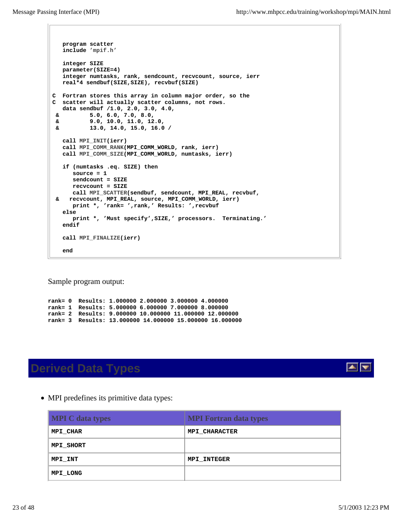```
 program scatter
   include 'mpif.h'
   integer SIZE
   parameter(SIZE=4)
    integer numtasks, rank, sendcount, recvcount, source, ierr
   real*4 sendbuf(SIZE,SIZE), recvbuf(SIZE)
C Fortran stores this array in column major order, so the 
C scatter will actually scatter columns, not rows.
   data sendbuf /1.0, 2.0, 3.0, 4.0, 
 & 5.0, 6.0, 7.0, 8.0,
 & 9.0, 10.0, 11.0, 12.0, 
 & 13.0, 14.0, 15.0, 16.0 /
   call MPI_INIT(ierr)
   call MPI_COMM_RANK(MPI_COMM_WORLD, rank, ierr)
   call MPI_COMM_SIZE(MPI_COMM_WORLD, numtasks, ierr)
   if (numtasks .eq. SIZE) then
       source = 1
       sendcount = SIZE
      recvcount = SIZE
      call MPI_SCATTER(sendbuf, sendcount, MPI_REAL, recvbuf, 
 & recvcount, MPI_REAL, source, MPI_COMM_WORLD, ierr)
      print *, 'rank= ',rank,' Results: ',recvbuf 
   else
      print *, 'Must specify',SIZE,' processors. Terminating.' 
    endif
   call MPI_FINALIZE(ierr)
    end
```
Sample program output:

**rank= 0 Results: 1.000000 2.000000 3.000000 4.000000 rank= 1 Results: 5.000000 6.000000 7.000000 8.000000 rank= 2 Results: 9.000000 10.000000 11.000000 12.000000 rank= 3 Results: 13.000000 14.000000 15.000000 16.000000**

## **Derived Data Types**



• MPI predefines its primitive data types:

| <b>MPI</b> C data types | <b>MPI Fortran data types</b> |
|-------------------------|-------------------------------|
| MPI CHAR                | <b>MPI CHARACTER</b>          |
| MPI SHORT               |                               |
| MPI INT                 | <b>MPI INTEGER</b>            |
| MPI LONG                |                               |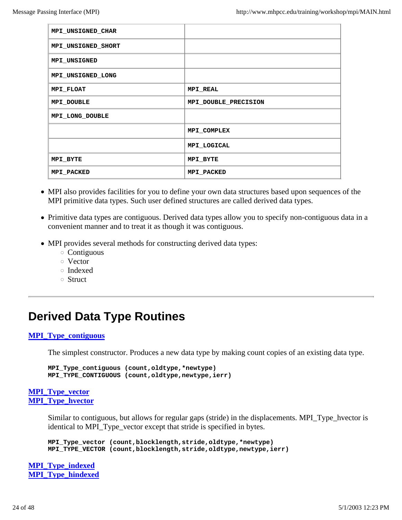| MPI_UNSIGNED_CHAR  |                      |
|--------------------|----------------------|
| MPI_UNSIGNED_SHORT |                      |
| MPI UNSIGNED       |                      |
| MPI_UNSIGNED_LONG  |                      |
| MPI FLOAT          | <b>MPI REAL</b>      |
| MPI DOUBLE         | MPI DOUBLE PRECISION |
| MPI LONG DOUBLE    |                      |
|                    | MPI COMPLEX          |
|                    | MPI LOGICAL          |
| MPI BYTE           | MPI BYTE             |
| MPI PACKED         | MPI PACKED           |

- MPI also provides facilities for you to define your own data structures based upon sequences of the MPI primitive data types. Such user defined structures are called derived data types.
- Primitive data types are contiguous. Derived data types allow you to specify non-contiguous data in a convenient manner and to treat it as though it was contiguous.
- MPI provides several methods for constructing derived data types:
	- Contiguous
	- Vector
	- Indexed
	- Struct

## **Derived Data Type Routines**

#### **MPI\_Type\_contiguous**

The simplest constructor. Produces a new data type by making count copies of an existing data type.

```
MPI_Type_contiguous (count,oldtype,*newtype) 
MPI_TYPE_CONTIGUOUS (count,oldtype,newtype,ierr)
```
#### **MPI\_Type\_vector MPI\_Type\_hvector**

Similar to contiguous, but allows for regular gaps (stride) in the displacements. MPI\_Type\_hvector is identical to MPI\_Type\_vector except that stride is specified in bytes.

**MPI\_Type\_vector (count,blocklength,stride,oldtype,\*newtype) MPI\_TYPE\_VECTOR (count,blocklength,stride,oldtype,newtype,ierr)**

**MPI\_Type\_indexed MPI\_Type\_hindexed**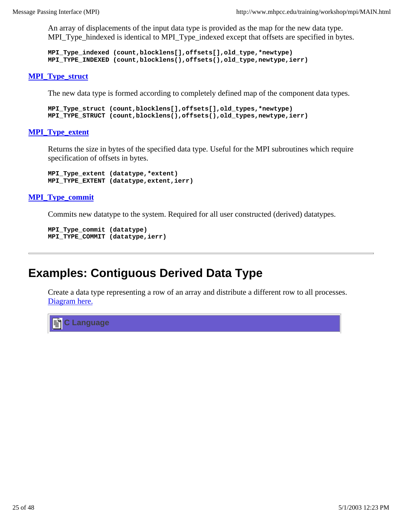An array of displacements of the input data type is provided as the map for the new data type. MPI\_Type\_hindexed is identical to MPI\_Type\_indexed except that offsets are specified in bytes.

**MPI\_Type\_indexed (count,blocklens[],offsets[],old\_type,\*newtype) MPI\_TYPE\_INDEXED (count,blocklens(),offsets(),old\_type,newtype,ierr)**

#### **MPI\_Type\_struct**

The new data type is formed according to completely defined map of the component data types.

```
MPI_Type_struct (count,blocklens[],offsets[],old_types,*newtype)
MPI_TYPE_STRUCT (count,blocklens(),offsets(),old_types,newtype,ierr)
```
#### **MPI\_Type\_extent**

Returns the size in bytes of the specified data type. Useful for the MPI subroutines which require specification of offsets in bytes.

**MPI\_Type\_extent (datatype,\*extent) MPI\_TYPE\_EXTENT (datatype,extent,ierr)**

#### **MPI\_Type\_commit**

Commits new datatype to the system. Required for all user constructed (derived) datatypes.

```
MPI_Type_commit (datatype)
MPI_TYPE_COMMIT (datatype,ierr)
```
### **Examples: Contiguous Derived Data Type**

Create a data type representing a row of an array and distribute a different row to all processes. Diagram here.

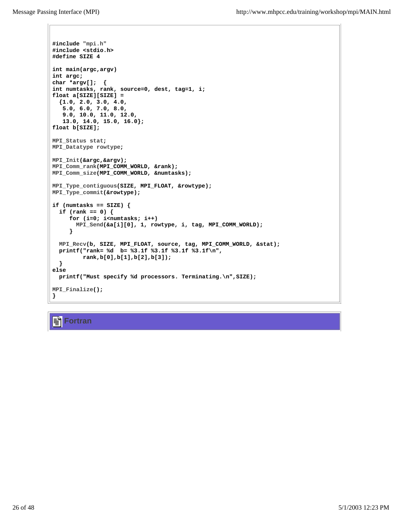```
#include "mpi.h"
#include <stdio.h>
#define SIZE 4
int main(argc,argv)
int argc;
char *argv[]; {
int numtasks, rank, source=0, dest, tag=1, i;
float a[SIZE][SIZE] =
   {1.0, 2.0, 3.0, 4.0,
    5.0, 6.0, 7.0, 8.0,
    9.0, 10.0, 11.0, 12.0,
    13.0, 14.0, 15.0, 16.0};
float b[SIZE];
MPI_Status stat;
MPI_Datatype rowtype;
MPI_Init(&argc,&argv);
MPI_Comm_rank(MPI_COMM_WORLD, &rank);
MPI_Comm_size(MPI_COMM_WORLD, &numtasks);
MPI_Type_contiguous(SIZE, MPI_FLOAT, &rowtype);
MPI_Type_commit(&rowtype);
if (numtasks == SIZE) {
  if (rank == 0) {
      for (i=0; i<numtasks; i++)
        MPI_Send(&a[i][0], 1, rowtype, i, tag, MPI_COMM_WORLD);
      }
  MPI_Recv(b, SIZE, MPI_FLOAT, source, tag, MPI_COMM_WORLD, &stat);
  printf("rank= %d b= %3.1f %3.1f %3.1f %3.1f\n",
         rank,b[0],b[1],b[2],b[3]);
   }
else
  printf("Must specify %d processors. Terminating.\n",SIZE);
MPI_Finalize();
}
```
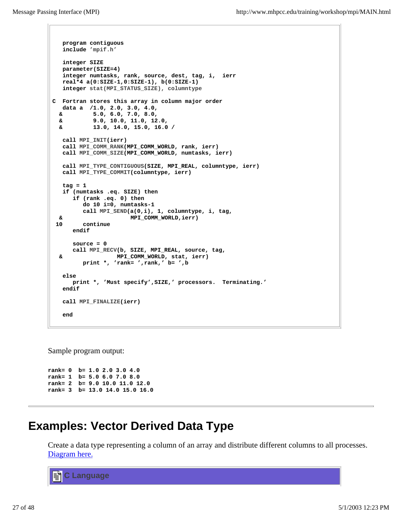```
 program contiguous
    include 'mpif.h'
   integer SIZE
   parameter(SIZE=4)
    integer numtasks, rank, source, dest, tag, i, ierr
   real*4 a(0:SIZE-1,0:SIZE-1), b(0:SIZE-1)
    integer stat(MPI_STATUS_SIZE), columntype
C Fortran stores this array in column major order
   data a /1.0, 2.0, 3.0, 4.0, 
  & 5.0, 6.0, 7.0, 8.0,
  & 9.0, 10.0, 11.0, 12.0, 
  & 13.0, 14.0, 15.0, 16.0 /
   call MPI_INIT(ierr)
   call MPI_COMM_RANK(MPI_COMM_WORLD, rank, ierr)
   call MPI_COMM_SIZE(MPI_COMM_WORLD, numtasks, ierr)
   call MPI_TYPE_CONTIGUOUS(SIZE, MPI_REAL, columntype, ierr)
   call MPI_TYPE_COMMIT(columntype, ierr)
   tag = 1
   if (numtasks .eq. SIZE) then
       if (rank .eq. 0) then
         do 10 i=0, numtasks-1
         call MPI_SEND(a(0,i), 1, columntype, i, tag,
   & MPI_COMM_WORLD,ierr)
 10 continue
      endif
      source = 0
      call MPI_RECV(b, SIZE, MPI_REAL, source, tag, 
  & MPI_COMM_WORLD, stat, ierr)
         print *, 'rank= ',rank,' b= ',b
   else
      print *, 'Must specify',SIZE,' processors. Terminating.' 
    endif
   call MPI_FINALIZE(ierr)
    end
```
Sample program output:

**rank= 0 b= 1.0 2.0 3.0 4.0 rank= 1 b= 5.0 6.0 7.0 8.0 rank= 2 b= 9.0 10.0 11.0 12.0 rank= 3 b= 13.0 14.0 15.0 16.0**

## **Examples: Vector Derived Data Type**

Create a data type representing a column of an array and distribute different columns to all processes. Diagram here.

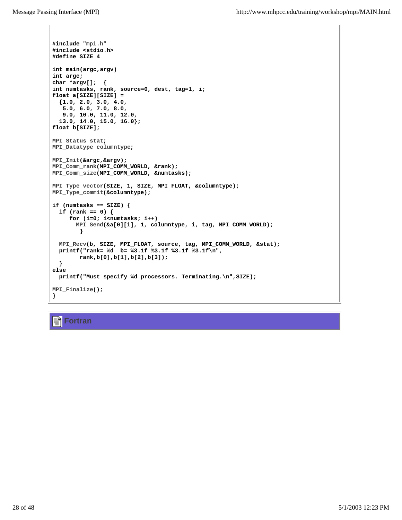```
#include "mpi.h"
#include <stdio.h>
#define SIZE 4
int main(argc,argv)
int argc;
char *argv[]; {
int numtasks, rank, source=0, dest, tag=1, i;
float a[SIZE][SIZE] = 
   {1.0, 2.0, 3.0, 4.0, 
    5.0, 6.0, 7.0, 8.0, 
 9.0, 10.0, 11.0, 12.0,
 13.0, 14.0, 15.0, 16.0};
float b[SIZE]; 
MPI_Status stat;
MPI_Datatype columntype;
MPI_Init(&argc,&argv);
MPI_Comm_rank(MPI_COMM_WORLD, &rank);
MPI_Comm_size(MPI_COMM_WORLD, &numtasks);
MPI_Type_vector(SIZE, 1, SIZE, MPI_FLOAT, &columntype);
MPI_Type_commit(&columntype);
if (numtasks == SIZE) {
  if (rank == 0) {
      for (i=0; i<numtasks; i++) 
        MPI_Send(&a[0][i], 1, columntype, i, tag, MPI_COMM_WORLD);
         }
  MPI_Recv(b, SIZE, MPI_FLOAT, source, tag, MPI_COMM_WORLD, &stat);
  printf("rank= %d b= %3.1f %3.1f %3.1f %3.1f\n",
        rank,b[0],b[1],b[2],b[3]);
   }
else
  printf("Must specify %d processors. Terminating.\n",SIZE);
MPI_Finalize();
}
```
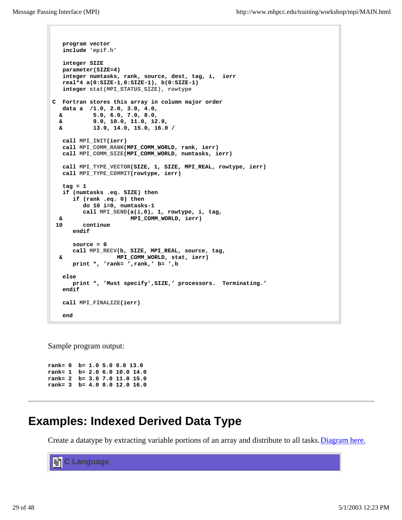```
 program vector
    include 'mpif.h'
   integer SIZE
   parameter(SIZE=4)
    integer numtasks, rank, source, dest, tag, i, ierr
   real*4 a(0:SIZE-1,0:SIZE-1), b(0:SIZE-1)
    integer stat(MPI_STATUS_SIZE), rowtype
C Fortran stores this array in column major order
   data a /1.0, 2.0, 3.0, 4.0, 
   & 5.0, 6.0, 7.0, 8.0,
  & 9.0, 10.0, 11.0, 12.0, 
  & 13.0, 14.0, 15.0, 16.0 /
   call MPI_INIT(ierr)
   call MPI_COMM_RANK(MPI_COMM_WORLD, rank, ierr)
   call MPI_COMM_SIZE(MPI_COMM_WORLD, numtasks, ierr)
   call MPI_TYPE_VECTOR(SIZE, 1, SIZE, MPI_REAL, rowtype, ierr)
   call MPI_TYPE_COMMIT(rowtype, ierr)
   tag = 1
   if (numtasks .eq. SIZE) then
       if (rank .eq. 0) then
         do 10 i=0, numtasks-1
         call MPI_SEND(a(i,0), 1, rowtype, i, tag,
  & MPI_COMM_WORLD, ierr)
 10 continue
       endif
      source = 0
      call MPI_RECV(b, SIZE, MPI_REAL, source, tag, 
  & MPI_COMM_WORLD, stat, ierr)
      print *, 'rank= ',rank,' b= ',b
    else
      print *, 'Must specify',SIZE,' processors. Terminating.' 
   endif
   call MPI_FINALIZE(ierr)
    end
```
Sample program output:

**rank= 0 b= 1.0 5.0 9.0 13.0 rank= 1 b= 2.0 6.0 10.0 14.0 rank= 2 b= 3.0 7.0 11.0 15.0 rank= 3 b= 4.0 8.0 12.0 16.0**

### **Examples: Indexed Derived Data Type**

Create a datatype by extracting variable portions of an array and distribute to all tasks. Diagram here.

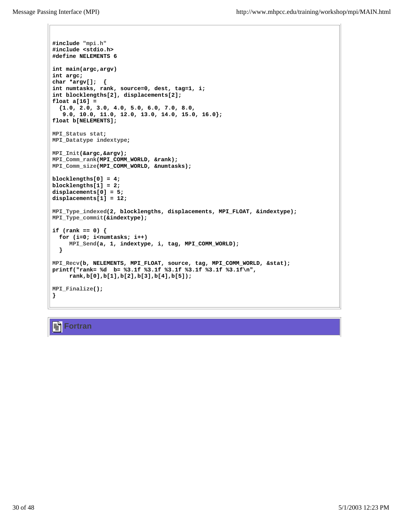```
#include "mpi.h"
#include <stdio.h>
#define NELEMENTS 6
int main(argc,argv)
int argc;
char *argv[]; {
int numtasks, rank, source=0, dest, tag=1, i;
int blocklengths[2], displacements[2];
float a[16] = 
   {1.0, 2.0, 3.0, 4.0, 5.0, 6.0, 7.0, 8.0, 
    9.0, 10.0, 11.0, 12.0, 13.0, 14.0, 15.0, 16.0};
float b[NELEMENTS]; 
MPI_Status stat;
MPI_Datatype indextype;
MPI_Init(&argc,&argv);
MPI_Comm_rank(MPI_COMM_WORLD, &rank);
MPI_Comm_size(MPI_COMM_WORLD, &numtasks);
blocklengths[0] = 4;
blocklengths[1] = 2;
displacements[0] = 5;
displacements[1] = 12;
MPI_Type_indexed(2, blocklengths, displacements, MPI_FLOAT, &indextype);
MPI_Type_commit(&indextype);
if (rank == 0) {
   for (i=0; i<numtasks; i++) 
      MPI_Send(a, 1, indextype, i, tag, MPI_COMM_WORLD);
   }
MPI_Recv(b, NELEMENTS, MPI_FLOAT, source, tag, MPI_COMM_WORLD, &stat);
printf("rank= %d b= %3.1f %3.1f %3.1f %3.1f %3.1f %3.1f\n",
      rank,b[0],b[1],b[2],b[3],b[4],b[5]);
MPI_Finalize();
}
```
**Fortran**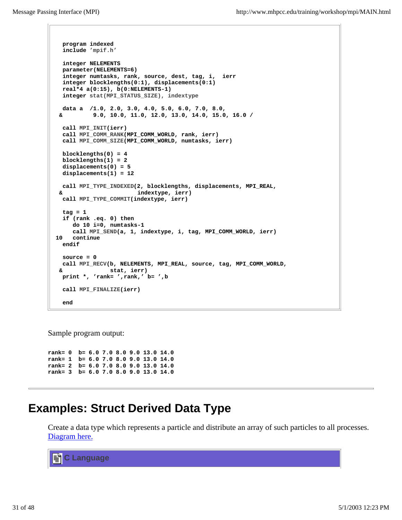```
 program indexed
   include 'mpif.h'
   integer NELEMENTS
  parameter(NELEMENTS=6)
   integer numtasks, rank, source, dest, tag, i, ierr
   integer blocklengths(0:1), displacements(0:1)
   real*4 a(0:15), b(0:NELEMENTS-1)
   integer stat(MPI_STATUS_SIZE), indextype
   data a /1.0, 2.0, 3.0, 4.0, 5.0, 6.0, 7.0, 8.0,
  & 9.0, 10.0, 11.0, 12.0, 13.0, 14.0, 15.0, 16.0 /
   call MPI_INIT(ierr)
   call MPI_COMM_RANK(MPI_COMM_WORLD, rank, ierr)
   call MPI_COMM_SIZE(MPI_COMM_WORLD, numtasks, ierr)
  blocklengths(0) = 4
  blocklengths(1) = 2
   displacements(0) = 5
   displacements(1) = 12
  call MPI_TYPE_INDEXED(2, blocklengths, displacements, MPI_REAL, 
  & indextype, ierr)
   call MPI_TYPE_COMMIT(indextype, ierr)
   tag = 1
   if (rank .eq. 0) then
      do 10 i=0, numtasks-1
      call MPI_SEND(a, 1, indextype, i, tag, MPI_COMM_WORLD, ierr)
 10 continue
   endif
   source = 0
  call MPI_RECV(b, NELEMENTS, MPI_REAL, source, tag, MPI_COMM_WORLD, 
  & stat, ierr)
  print *, 'rank= ',rank,' b= ',b
   call MPI_FINALIZE(ierr)
   end
```
Sample program output:

**rank= 0 b= 6.0 7.0 8.0 9.0 13.0 14.0 rank= 1 b= 6.0 7.0 8.0 9.0 13.0 14.0 rank= 2 b= 6.0 7.0 8.0 9.0 13.0 14.0 rank= 3 b= 6.0 7.0 8.0 9.0 13.0 14.0**

### **Examples: Struct Derived Data Type**

Create a data type which represents a particle and distribute an array of such particles to all processes. Diagram here.

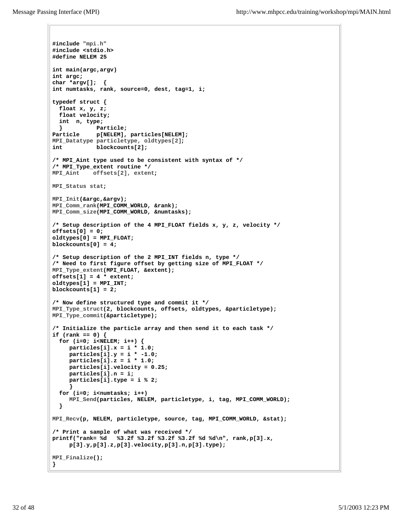```
#include "mpi.h"
#include <stdio.h>
#define NELEM 25
int main(argc,argv)
int argc;
char *argv[]; {
int numtasks, rank, source=0, dest, tag=1, i;
typedef struct {
  float x, y, z;
  float velocity;
  int n, type;
  } Particle;
Particle p[NELEM], particles[NELEM];
MPI_Datatype particletype, oldtypes[2]; 
int blockcounts[2];
/* MPI_Aint type used to be consistent with syntax of */
/* MPI_Type_extent routine */
MPI_Aint offsets[2], extent;
MPI_Status stat;
MPI_Init(&argc,&argv);
MPI_Comm_rank(MPI_COMM_WORLD, &rank);
MPI_Comm_size(MPI_COMM_WORLD, &numtasks);
/* Setup description of the 4 MPI_FLOAT fields x, y, z, velocity */
offsets[0] = 0;
oldtypes[0] = MPI_FLOAT;
blockcounts[0] = 4;
/* Setup description of the 2 MPI_INT fields n, type */
/* Need to first figure offset by getting size of MPI_FLOAT */
MPI_Type_extent(MPI_FLOAT, &extent);
offsets[1] = 4 * extent;
oldtypes[1] = MPI_INT;
blockcounts[1] = 2;
/* Now define structured type and commit it */
MPI_Type_struct(2, blockcounts, offsets, oldtypes, &particletype);
MPI_Type_commit(&particletype);
/* Initialize the particle array and then send it to each task */
if (rank == 0) {
  for (i=0; i<NELEM; i++) {
     particles[i].x = i * 1.0;
     particles[i].y = i * -1.0;
     particles[i].z = i * 1.0; 
     particles[i].velocity = 0.25;
     particles[i].n = i;
     particles[i].type = i % 2; 
 }
  for (i=0; i<numtasks; i++) 
     MPI_Send(particles, NELEM, particletype, i, tag, MPI_COMM_WORLD);
   }
MPI_Recv(p, NELEM, particletype, source, tag, MPI_COMM_WORLD, &stat);
/* Print a sample of what was received */
printf("rank= %d %3.2f %3.2f %3.2f %3.2f %d %d\n", rank,p[3].x,
     p[3].y,p[3].z,p[3].velocity,p[3].n,p[3].type);
MPI_Finalize();
}
```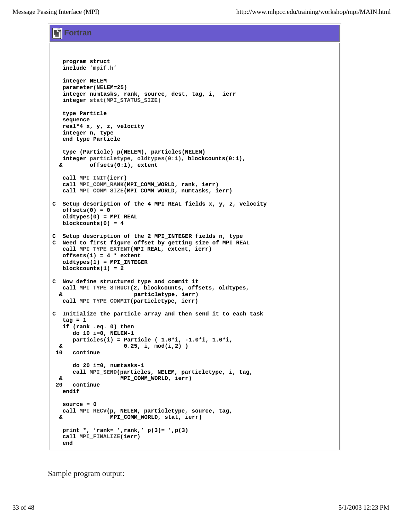**Fortran**

```
 program struct
   include 'mpif.h'
   integer NELEM
   parameter(NELEM=25)
    integer numtasks, rank, source, dest, tag, i, ierr
    integer stat(MPI_STATUS_SIZE)
   type Particle
   sequence
   real*4 x, y, z, velocity
   integer n, type
   end type Particle
   type (Particle) p(NELEM), particles(NELEM)
   integer particletype, oldtypes(0:1), blockcounts(0:1), 
   & offsets(0:1), extent
   call MPI_INIT(ierr)
   call MPI_COMM_RANK(MPI_COMM_WORLD, rank, ierr)
   call MPI_COMM_SIZE(MPI_COMM_WORLD, numtasks, ierr)
C Setup description of the 4 MPI_REAL fields x, y, z, velocity 
   offsets(0) = 0
   oldtypes(0) = MPI_REAL
   blockcounts(0) = 4
C Setup description of the 2 MPI_INTEGER fields n, type 
C Need to first figure offset by getting size of MPI_REAL
    call MPI_TYPE_EXTENT(MPI_REAL, extent, ierr)
   offsets(1) = 4 * extent
   oldtypes(1) = MPI_INTEGER
   blockcounts(1) = 2
C Now define structured type and commit it 
   call MPI_TYPE_STRUCT(2, blockcounts, offsets, oldtypes, 
   & particletype, ierr)
   call MPI_TYPE_COMMIT(particletype, ierr)
C Initialize the particle array and then send it to each task
   tag = 1
   if (rank .eq. 0) then
      do 10 i=0, NELEM-1
      particles(i) = Particle ( 1.0*i, -1.0*i, 1.0*i, 
   & 0.25, i, mod(i,2) )
 10 continue
      do 20 i=0, numtasks-1
      call MPI_SEND(particles, NELEM, particletype, i, tag, 
  & MPI_COMM_WORLD, ierr)
 20 continue
   endif
   source = 0
   call MPI_RECV(p, NELEM, particletype, source, tag, 
  & MPI_COMM_WORLD, stat, ierr)
   print *, 'rank= ',rank,' p(3)= ',p(3)
    call MPI_FINALIZE(ierr)
    end
```
Sample program output: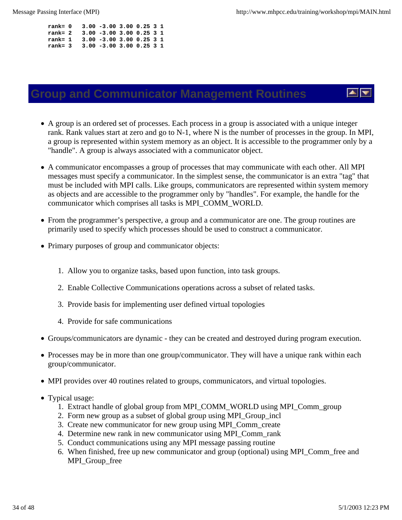| $rank = 0$ |  | $3.00 - 3.00$ $3.00$ $0.25$ $3$ 1 |  |  |
|------------|--|-----------------------------------|--|--|
| $rank = 2$ |  | $3.00 - 3.00$ $3.00$ $0.25$ $3$ 1 |  |  |
| $rank=1$   |  | $3.00 - 3.00$ $3.00$ $0.25$ $3$ 1 |  |  |
| $rank = 3$ |  | $3.00 - 3.00$ $3.00$ $0.25$ $3$ 1 |  |  |

### **Group and Communicator Management Routines**

- A group is an ordered set of processes. Each process in a group is associated with a unique integer rank. Rank values start at zero and go to N-1, where N is the number of processes in the group. In MPI, a group is represented within system memory as an object. It is accessible to the programmer only by a "handle". A group is always associated with a communicator object.
- A communicator encompasses a group of processes that may communicate with each other. All MPI messages must specify a communicator. In the simplest sense, the communicator is an extra "tag" that must be included with MPI calls. Like groups, communicators are represented within system memory as objects and are accessible to the programmer only by "handles". For example, the handle for the communicator which comprises all tasks is MPI\_COMM\_WORLD.
- From the programmer's perspective, a group and a communicator are one. The group routines are primarily used to specify which processes should be used to construct a communicator.
- Primary purposes of group and communicator objects:
	- 1. Allow you to organize tasks, based upon function, into task groups.
	- 2. Enable Collective Communications operations across a subset of related tasks.
	- 3. Provide basis for implementing user defined virtual topologies
	- 4. Provide for safe communications
- Groups/communicators are dynamic they can be created and destroyed during program execution.
- Processes may be in more than one group/communicator. They will have a unique rank within each group/communicator.
- MPI provides over 40 routines related to groups, communicators, and virtual topologies.
- Typical usage:
	- 1. Extract handle of global group from MPI\_COMM\_WORLD using MPI\_Comm\_group
	- 2. Form new group as a subset of global group using MPI\_Group\_incl
	- 3. Create new communicator for new group using MPI\_Comm\_create
	- 4. Determine new rank in new communicator using MPI\_Comm\_rank
	- 5. Conduct communications using any MPI message passing routine
	- When finished, free up new communicator and group (optional) using MPI\_Comm\_free and 6. MPI Group free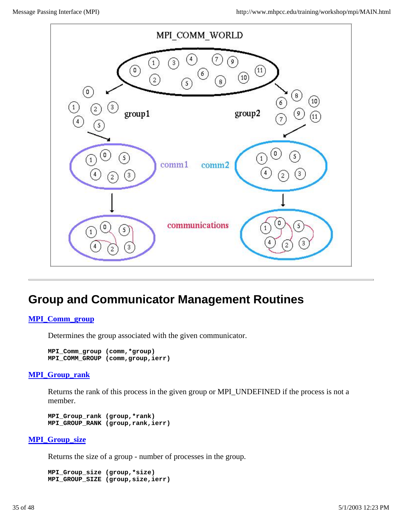

## **Group and Communicator Management Routines**

#### **MPI\_Comm\_group**

Determines the group associated with the given communicator.

```
MPI_Comm_group (comm,*group)
MPI_COMM_GROUP (comm,group,ierr)
```
#### **MPI\_Group\_rank**

Returns the rank of this process in the given group or MPI\_UNDEFINED if the process is not a member.

**MPI\_Group\_rank (group,\*rank) MPI\_GROUP\_RANK (group,rank,ierr)**

#### **MPI\_Group\_size**

Returns the size of a group - number of processes in the group.

**MPI\_Group\_size (group,\*size) MPI\_GROUP\_SIZE (group,size,ierr)**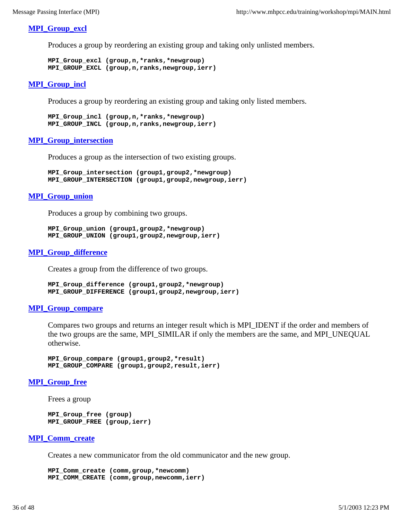#### **MPI\_Group\_excl**

Produces a group by reordering an existing group and taking only unlisted members.

```
MPI_Group_excl (group,n,*ranks,*newgroup) 
MPI_GROUP_EXCL (group,n,ranks,newgroup,ierr)
```
#### **MPI\_Group\_incl**

Produces a group by reordering an existing group and taking only listed members.

```
MPI_Group_incl (group,n,*ranks,*newgroup) 
MPI_GROUP_INCL (group,n,ranks,newgroup,ierr)
```
#### **MPI\_Group\_intersection**

Produces a group as the intersection of two existing groups.

```
MPI_Group_intersection (group1,group2,*newgroup)
MPI_GROUP_INTERSECTION (group1,group2,newgroup,ierr)
```
#### **MPI\_Group\_union**

Produces a group by combining two groups.

```
MPI_Group_union (group1,group2,*newgroup) 
MPI_GROUP_UNION (group1,group2,newgroup,ierr)
```
#### **MPI\_Group\_difference**

Creates a group from the difference of two groups.

```
MPI_Group_difference (group1,group2,*newgroup) 
MPI_GROUP_DIFFERENCE (group1,group2,newgroup,ierr)
```
#### **MPI\_Group\_compare**

Compares two groups and returns an integer result which is MPI\_IDENT if the order and members of the two groups are the same, MPI\_SIMILAR if only the members are the same, and MPI\_UNEQUAL otherwise.

```
MPI_Group_compare (group1,group2,*result) 
MPI_GROUP_COMPARE (group1,group2,result,ierr)
```
#### **MPI\_Group\_free**

Frees a group

**MPI\_Group\_free (group) MPI\_GROUP\_FREE (group,ierr)**

#### **MPI\_Comm\_create**

Creates a new communicator from the old communicator and the new group.

**MPI\_Comm\_create (comm,group,\*newcomm) MPI\_COMM\_CREATE (comm,group,newcomm,ierr)**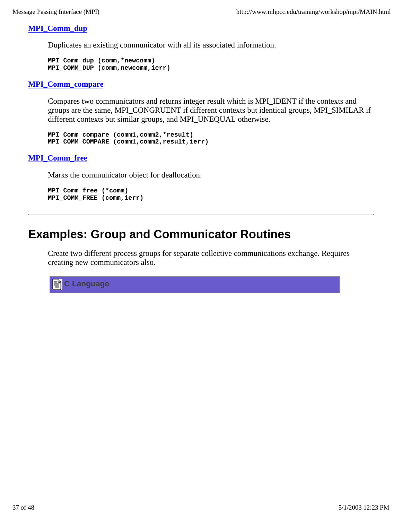#### **MPI\_Comm\_dup**

Duplicates an existing communicator with all its associated information.

```
MPI_Comm_dup (comm,*newcomm) 
MPI_COMM_DUP (comm,newcomm,ierr)
```
#### **MPI\_Comm\_compare**

Compares two communicators and returns integer result which is MPI\_IDENT if the contexts and groups are the same, MPI\_CONGRUENT if different contexts but identical groups, MPI\_SIMILAR if different contexts but similar groups, and MPI\_UNEQUAL otherwise.

**MPI\_Comm\_compare (comm1,comm2,\*result) MPI\_COMM\_COMPARE (comm1,comm2,result,ierr)**

### **MPI\_Comm\_free**

Marks the communicator object for deallocation.

```
MPI_Comm_free (*comm)
MPI_COMM_FREE (comm,ierr)
```
### **Examples: Group and Communicator Routines**

Create two different process groups for separate collective communications exchange. Requires creating new communicators also.

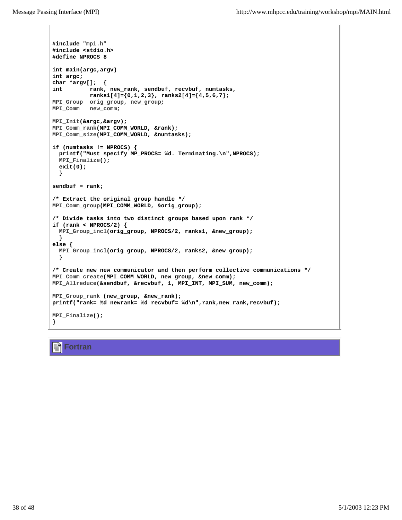```
#include "mpi.h"
#include <stdio.h>
#define NPROCS 8
int main(argc,argv)
int argc;
char *argv[]; {
int rank, new_rank, sendbuf, recvbuf, numtasks,
           ranks1[4]={0,1,2,3}, ranks2[4]={4,5,6,7};
MPI_Group orig_group, new_group;
MPI_Comm new_comm;
MPI_Init(&argc,&argv);
MPI_Comm_rank(MPI_COMM_WORLD, &rank);
MPI_Comm_size(MPI_COMM_WORLD, &numtasks);
if (numtasks != NPROCS) {
  printf("Must specify MP_PROCS= %d. Terminating.\n",NPROCS);
  MPI_Finalize();
  exit(0);
  }
sendbuf = rank;
/* Extract the original group handle */
MPI_Comm_group(MPI_COMM_WORLD, &orig_group);
/* Divide tasks into two distinct groups based upon rank */
if (rank < NPROCS/2) {
  MPI_Group_incl(orig_group, NPROCS/2, ranks1, &new_group);
   }
else {
  MPI_Group_incl(orig_group, NPROCS/2, ranks2, &new_group);
  }
/* Create new new communicator and then perform collective communications */
MPI_Comm_create(MPI_COMM_WORLD, new_group, &new_comm);
MPI_Allreduce(&sendbuf, &recvbuf, 1, MPI_INT, MPI_SUM, new_comm);
MPI_Group_rank (new_group, &new_rank);
printf("rank= %d newrank= %d recvbuf= %d\n",rank,new_rank,recvbuf);
MPI_Finalize();
}
```
### **Fortran**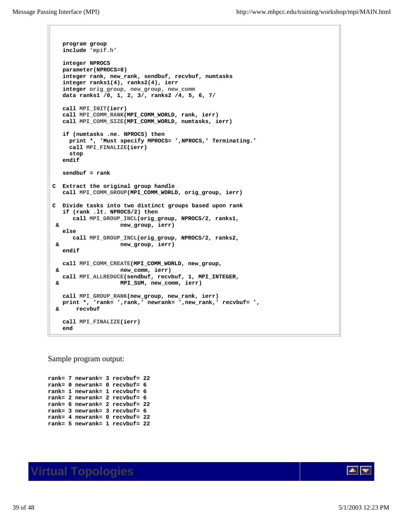```
 program group
   include 'mpif.h'
   integer NPROCS
   parameter(NPROCS=8)
   integer rank, new_rank, sendbuf, recvbuf, numtasks
   integer ranks1(4), ranks2(4), ierr
   integer orig_group, new_group, new_comm
   data ranks1 /0, 1, 2, 3/, ranks2 /4, 5, 6, 7/
   call MPI_INIT(ierr)
   call MPI_COMM_RANK(MPI_COMM_WORLD, rank, ierr)
   call MPI_COMM_SIZE(MPI_COMM_WORLD, numtasks, ierr)
   if (numtasks .ne. NPROCS) then
     print *, 'Must specify MPROCS= ',NPROCS,' Terminating.'
     call MPI_FINALIZE(ierr)
     stop
   endif
   sendbuf = rank
C Extract the original group handle
   call MPI_COMM_GROUP(MPI_COMM_WORLD, orig_group, ierr)
C Divide tasks into two distinct groups based upon rank
   if (rank .lt. NPROCS/2) then
      call MPI_GROUP_INCL(orig_group, NPROCS/2, ranks1, 
 & new_group, ierr)
   else 
      call MPI_GROUP_INCL(orig_group, NPROCS/2, ranks2, 
 & new_group, ierr)
   endif
   call MPI_COMM_CREATE(MPI_COMM_WORLD, new_group, 
 & new_comm, ierr)
   call MPI_ALLREDUCE(sendbuf, recvbuf, 1, MPI_INTEGER,
 & MPI_SUM, new_comm, ierr)
   call MPI_GROUP_RANK(new_group, new_rank, ierr)
   print *, 'rank= ',rank,' newrank= ',new_rank,' recvbuf= ',
 & recvbuf
   call MPI_FINALIZE(ierr)
   end
```
Sample program output:

**rank= 7 newrank= 3 recvbuf= 22 rank= 0 newrank= 0 recvbuf= 6 rank= 1 newrank= 1 recvbuf= 6 rank= 2 newrank= 2 recvbuf= 6 rank= 6 newrank= 2 recvbuf= 22 rank= 3 newrank= 3 recvbuf= 6 rank= 4 newrank= 0 recvbuf= 22 rank= 5 newrank= 1 recvbuf= 22**



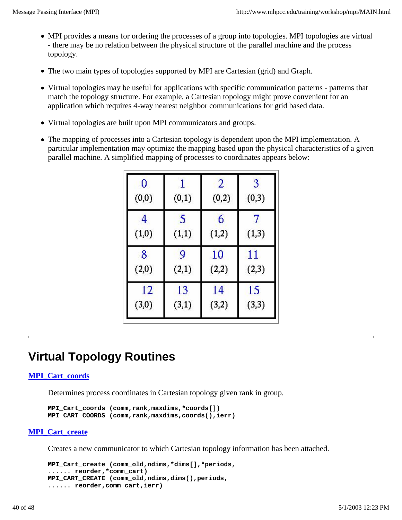- MPI provides a means for ordering the processes of a group into topologies. MPI topologies are virtual - there may be no relation between the physical structure of the parallel machine and the process topology.
- The two main types of topologies supported by MPI are Cartesian (grid) and Graph.
- Virtual topologies may be useful for applications with specific communication patterns patterns that match the topology structure. For example, a Cartesian topology might prove convenient for an application which requires 4-way nearest neighbor communications for grid based data.
- Virtual topologies are built upon MPI communicators and groups.
- The mapping of processes into a Cartesian topology is dependent upon the MPI implementation. A particular implementation may optimize the mapping based upon the physical characteristics of a given parallel machine. A simplified mapping of processes to coordinates appears below:

| 0      | (0,1) | $\overline{2}$ | 3     |
|--------|-------|----------------|-------|
| (0, 0) |       | (0, 2)         | (0,3) |
| 4      | 5     | 6              | 7     |
| (1,0)  | (1,1) | (1,2)          | (1,3) |
| 8      | 9     | 10             | 11    |
| (2,0)  | (2,1) | (2,2)          | (2,3) |
| 12     | 13    | 14             | 15    |
| (3,0)  | (3,1) | (3,2)          | (3,3) |

## **Virtual Topology Routines**

#### **MPI\_Cart\_coords**

Determines process coordinates in Cartesian topology given rank in group.

**MPI\_Cart\_coords (comm,rank,maxdims,\*coords[]) MPI\_CART\_COORDS (comm,rank,maxdims,coords(),ierr)**

#### **MPI\_Cart\_create**

Creates a new communicator to which Cartesian topology information has been attached.

```
MPI_Cart_create (comm_old,ndims,*dims[],*periods,
...... reorder,*comm_cart) 
MPI_CART_CREATE (comm_old,ndims,dims(),periods,
...... reorder,comm_cart,ierr)
```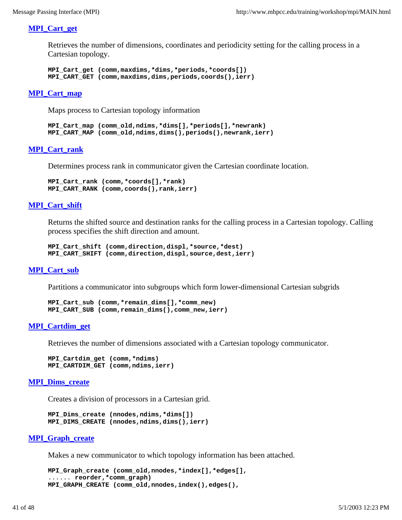#### **MPI\_Cart\_get**

Retrieves the number of dimensions, coordinates and periodicity setting for the calling process in a Cartesian topology.

```
MPI_Cart_get (comm,maxdims,*dims,*periods,*coords[]) 
MPI_CART_GET (comm,maxdims,dims,periods,coords(),ierr)
```
#### **MPI\_Cart\_map**

Maps process to Cartesian topology information

```
MPI_Cart_map (comm_old,ndims,*dims[],*periods[],*newrank) 
MPI_CART_MAP (comm_old,ndims,dims(),periods(),newrank,ierr)
```
#### **MPI\_Cart\_rank**

Determines process rank in communicator given the Cartesian coordinate location.

```
MPI_Cart_rank (comm,*coords[],*rank) 
MPI_CART_RANK (comm,coords(),rank,ierr)
```
#### **MPI\_Cart\_shift**

Returns the shifted source and destination ranks for the calling process in a Cartesian topology. Calling process specifies the shift direction and amount.

```
MPI_Cart_shift (comm,direction,displ,*source,*dest) 
MPI_CART_SHIFT (comm,direction,displ,source,dest,ierr)
```
#### **MPI\_Cart\_sub**

Partitions a communicator into subgroups which form lower-dimensional Cartesian subgrids

```
MPI_Cart_sub (comm,*remain_dims[],*comm_new) 
MPI_CART_SUB (comm,remain_dims(),comm_new,ierr)
```
#### **MPI\_Cartdim\_get**

Retrieves the number of dimensions associated with a Cartesian topology communicator.

```
MPI_Cartdim_get (comm,*ndims) 
MPI_CARTDIM_GET (comm,ndims,ierr)
```
#### **MPI\_Dims\_create**

Creates a division of processors in a Cartesian grid.

```
MPI_Dims_create (nnodes,ndims,*dims[]) 
MPI_DIMS_CREATE (nnodes,ndims,dims(),ierr)
```
#### **MPI\_Graph\_create**

Makes a new communicator to which topology information has been attached.

```
MPI_Graph_create (comm_old,nnodes,*index[],*edges[], 
...... reorder,*comm_graph) 
MPI_GRAPH_CREATE (comm_old,nnodes,index(),edges(),
```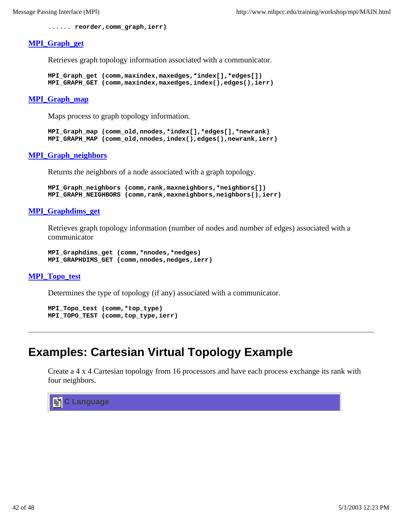```
...... reorder,comm_graph,ierr)
```
#### **MPI\_Graph\_get**

Retrieves graph topology information associated with a communicator.

```
MPI_Graph_get (comm,maxindex,maxedges,*index[],*edges[]) 
MPI_GRAPH_GET (comm,maxindex,maxedges,index(),edges(),ierr)
```
#### **MPI\_Graph\_map**

Maps process to graph topology information.

```
MPI_Graph_map (comm_old,nnodes,*index[],*edges[],*newrank)
MPI_GRAPH_MAP (comm_old,nnodes,index(),edges(),newrank,ierr)
```
#### **MPI\_Graph\_neighbors**

Returns the neighbors of a node associated with a graph topology.

```
MPI_Graph_neighbors (comm,rank,maxneighbors,*neighbors[])
MPI_GRAPH_NEIGHBORS (comm,rank,maxneighbors,neighbors(),ierr)
```
#### **MPI\_Graphdims\_get**

Retrieves graph topology information (number of nodes and number of edges) associated with a communicator

```
MPI_Graphdims_get (comm,*nnodes,*nedges)
MPI_GRAPHDIMS_GET (comm,nnodes,nedges,ierr)
```
#### **MPI\_Topo\_test**

Determines the type of topology (if any) associated with a communicator.

```
MPI_Topo_test (comm,*top_type)
MPI_TOPO_TEST (comm,top_type,ierr)
```
### **Examples: Cartesian Virtual Topology Example**

Create a 4 x 4 Cartesian topology from 16 processors and have each process exchange its rank with four neighbors.

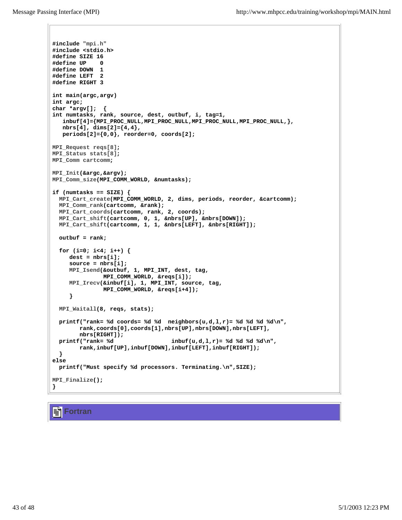```
#include "mpi.h"
#include <stdio.h>
#define SIZE 16
#define UP 0
#define DOWN 1
#define LEFT 2
#define RIGHT 3
int main(argc,argv)
int argc;
char *argv[]; {
int numtasks, rank, source, dest, outbuf, i, tag=1, 
    inbuf[4]={MPI_PROC_NULL,MPI_PROC_NULL,MPI_PROC_NULL,MPI_PROC_NULL,}, 
    nbrs[4], dims[2]={4,4}, 
    periods[2]={0,0}, reorder=0, coords[2];
MPI_Request reqs[8];
MPI_Status stats[8];
MPI_Comm cartcomm;
MPI_Init(&argc,&argv);
MPI_Comm_size(MPI_COMM_WORLD, &numtasks);
if (numtasks == SIZE) {
  MPI_Cart_create(MPI_COMM_WORLD, 2, dims, periods, reorder, &cartcomm);
  MPI_Comm_rank(cartcomm, &rank);
  MPI_Cart_coords(cartcomm, rank, 2, coords);
  MPI_Cart_shift(cartcomm, 0, 1, &nbrs[UP], &nbrs[DOWN]);
  MPI_Cart_shift(cartcomm, 1, 1, &nbrs[LEFT], &nbrs[RIGHT]);
  outbuf = rank;
  for (i=0; i<4; i++) {
     dest = nbrs[i];
      source = nbrs[i];
      MPI_Isend(&outbuf, 1, MPI_INT, dest, tag, 
               MPI_COMM_WORLD, &reqs[i]);
      MPI_Irecv(&inbuf[i], 1, MPI_INT, source, tag, 
               MPI_COMM_WORLD, &reqs[i+4]);
      }
  MPI_Waitall(8, reqs, stats);
  printf("rank= %d coords= %d %d neighbors(u,d,l,r)= %d %d %d %d\n",
        rank,coords[0],coords[1],nbrs[UP],nbrs[DOWN],nbrs[LEFT],
        nbrs[RIGHT]);
  printf("rank= %d inbuf(u,d,l,r)= %d %d %d %d\n",
        rank,inbuf[UP],inbuf[DOWN],inbuf[LEFT],inbuf[RIGHT]);
   }
else
  printf("Must specify %d processors. Terminating.\n",SIZE);
MPI_Finalize();
}
```
**Fortran**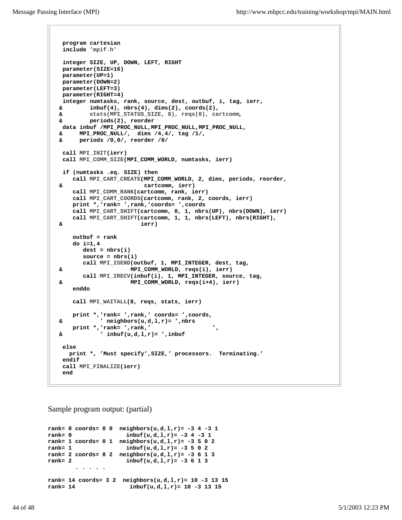```
 program cartesian
  include 'mpif.h'
  integer SIZE, UP, DOWN, LEFT, RIGHT
  parameter(SIZE=16)
  parameter(UP=1)
 parameter(DOWN=2)
 parameter(LEFT=3)
 parameter(RIGHT=4)
 integer numtasks, rank, source, dest, outbuf, i, tag, ierr,
 & inbuf(4), nbrs(4), dims(2), coords(2),
 & stats(MPI_STATUS_SIZE, 8), reqs(8), cartcomm,
 & periods(2), reorder
 data inbuf /MPI_PROC_NULL,MPI_PROC_NULL,MPI_PROC_NULL,
 & MPI_PROC_NULL/, dims /4,4/, tag /1/, 
 & periods /0,0/, reorder /0/ 
  call MPI_INIT(ierr)
  call MPI_COMM_SIZE(MPI_COMM_WORLD, numtasks, ierr)
  if (numtasks .eq. SIZE) then
     call MPI_CART_CREATE(MPI_COMM_WORLD, 2, dims, periods, reorder,
 & cartcomm, ierr)
     call MPI_COMM_RANK(cartcomm, rank, ierr)
     call MPI_CART_COORDS(cartcomm, rank, 2, coords, ierr)
     print *,'rank= ',rank,'coords= ',coords
     call MPI_CART_SHIFT(cartcomm, 0, 1, nbrs(UP), nbrs(DOWN), ierr)
     call MPI_CART_SHIFT(cartcomm, 1, 1, nbrs(LEFT), nbrs(RIGHT), 
 & ierr)
     outbuf = rank
     do i=1,4
       dest = nbrs(i)
       source = nbrs(i)
       call MPI_ISEND(outbuf, 1, MPI_INTEGER, dest, tag,
 & MPI_COMM_WORLD, reqs(i), ierr)
       call MPI_IRECV(inbuf(i), 1, MPI_INTEGER, source, tag,
 & MPI_COMM_WORLD, reqs(i+4), ierr)
     enddo
     call MPI_WAITALL(8, reqs, stats, ierr)
     print *,'rank= ',rank,' coords= ',coords, 
 & ' neighbors(u,d,l,r)= ',nbrs
     print *,'rank= ',rank,' ', 
 & ' inbuf(u,d,l,r)= ',inbuf
  else
   print *, 'Must specify',SIZE,' processors. Terminating.' 
  endif
  call MPI_FINALIZE(ierr)
  end
```
Sample program output: (partial)

```
rank= 0 coords= 0 0 neighbors(u,d,l,r)= -3 4 -3 1
rank= 0 inbuf(u,d,l,r)= -3 4 -3 1
rank= 1 coords= 0 1 neighbors(u,d,l,r)= -3 5 0 2
rank= 1 inbuf(u,d,l,r)= -3 5 0 2
rank= 2 coords= 0 2 neighbors(u,d,l,r)= -3 6 1 3
rank= 2 inbuf(u,d,l,r)= -3 6 1 3
 . . . . .
rank= 14 coords= 3 2 neighbors(u,d,l,r)= 10 -3 13 15
rank= 14 inbuf(u,d,l,r)= 10 -3 13 15
```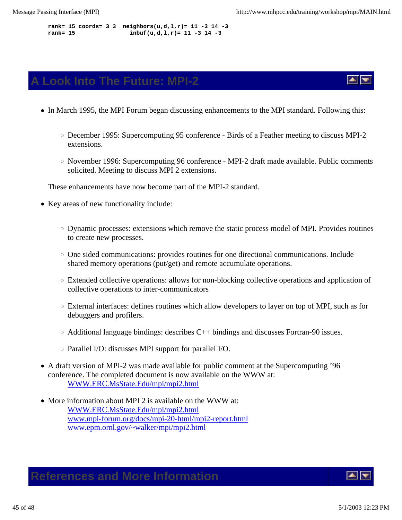**rank= 15 coords= 3 3 neighbors(u,d,l,r)= 11 -3 14 -3 rank= 15 inbuf(u,d,l,r)= 11 -3 14 -3**

### **A Look Into The Future: MPI-2**

- In March 1995, the MPI Forum began discussing enhancements to the MPI standard. Following this:
	- December 1995: Supercomputing 95 conference Birds of a Feather meeting to discuss MPI-2 extensions.
	- $\circ$  November 1996: Supercomputing 96 conference MPI-2 draft made available. Public comments solicited. Meeting to discuss MPI 2 extensions.

These enhancements have now become part of the MPI-2 standard.

- Key areas of new functionality include:
	- Dynamic processes: extensions which remove the static process model of MPI. Provides routines to create new processes.
	- $\circ$  One sided communications: provides routines for one directional communications. Include shared memory operations (put/get) and remote accumulate operations.
	- Extended collective operations: allows for non-blocking collective operations and application of collective operations to inter-communicators
	- $\circ$  External interfaces: defines routines which allow developers to layer on top of MPI, such as for debuggers and profilers.
	- $\circ$  Additional language bindings: describes C++ bindings and discusses Fortran-90 issues.
	- $\circ$  Parallel I/O: discusses MPI support for parallel I/O.
- A draft version of MPI-2 was made available for public comment at the Supercomputing '96 conference. The completed document is now available on the WWW at: WWW.ERC.MsState.Edu/mpi/mpi2.html
- More information about MPI 2 is available on the WWW at: WWW.ERC.MsState.Edu/mpi/mpi2.html www.mpi-forum.org/docs/mpi-20-html/mpi2-report.html www.epm.ornl.gov/~walker/mpi/mpi2.html

### **References and More Information**

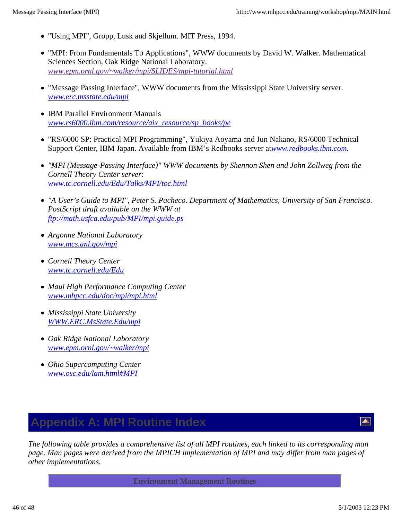- "Using MPI", Gropp, Lusk and Skjellum. MIT Press, 1994.
- "MPI: From Fundamentals To Applications", WWW documents by David W. Walker. Mathematical Sciences Section, Oak Ridge National Laboratory. *www.epm.ornl.gov/~walker/mpi/SLIDES/mpi-tutorial.html*
- "Message Passing Interface", WWW documents from the Mississippi State University server. *www.erc.msstate.edu/mpi*
- IBM Parallel Environment Manuals *www.rs6000.ibm.com/resource/aix\_resource/sp\_books/pe*
- "RS/6000 SP: Practical MPI Programming", Yukiya Aoyama and Jun Nakano, RS/6000 Technical Support Center, IBM Japan. Available from IBM's Redbooks server atwww.redbooks.ibm.com.
- *"MPI (Message-Passing Interface)" WWW documents by Shennon Shen and John Zollweg from the Cornell Theory Center server: www.tc.cornell.edu/Edu/Talks/MPI/toc.html*
- *"A User's Guide to MPI", Peter S. Pacheco. Department of Mathematics, University of San Francisco. PostScript draft available on the WWW at ftp://math.usfca.edu/pub/MPI/mpi.guide.ps*
- *Argonne National Laboratory www.mcs.anl.gov/mpi*
- *Cornell Theory Center www.tc.cornell.edu/Edu*
- *Maui High Performance Computing Center www.mhpcc.edu/doc/mpi/mpi.html*
- *Mississippi State University WWW.ERC.MsState.Edu/mpi*
- *Oak Ridge National Laboratory www.epm.ornl.gov/~walker/mpi*
- *Ohio Supercomputing Center www.osc.edu/lam.html#MPI*

## **Appendix A: MPI Routine Index**

 $\blacktriangle$ 

*The following table provides a comprehensive list of all MPI routines, each linked to its corresponding man page. Man pages were derived from the MPICH implementation of MPI and may differ from man pages of other implementations.*

**Environment Management Routines**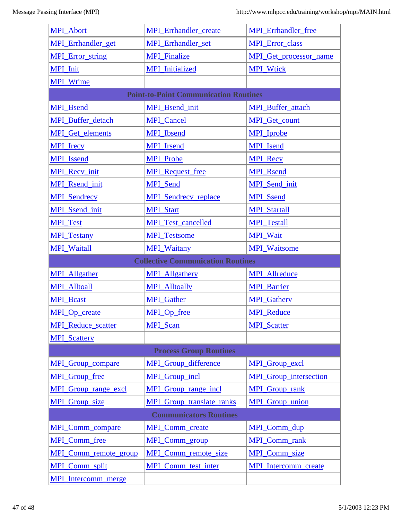| <b>MPI_Abort</b>            | <b>MPI_Errhandler_create</b>                 | <b>MPI_Errhandler_free</b>    |
|-----------------------------|----------------------------------------------|-------------------------------|
| <b>MPI</b> Errhandler get   | <b>MPI_Errhandler_set</b>                    | <b>MPI_Error_class</b>        |
| <b>MPI_Error_string</b>     | <b>MPI_Finalize</b>                          | <b>MPI</b> Get processor name |
| <b>MPI_Init</b>             | <b>MPI_Initialized</b>                       | <b>MPI_Wtick</b>              |
| <b>MPI_Wtime</b>            |                                              |                               |
|                             | <b>Point-to-Point Communication Routines</b> |                               |
| <b>MPI</b> Bsend            | <b>MPI_Bsend_init</b>                        | <b>MPI_Buffer_attach</b>      |
| <b>MPI_Buffer_detach</b>    | <b>MPI_Cancel</b>                            | <b>MPI_Get_count</b>          |
| <b>MPI</b> Get elements     | <b>MPI_Ibsend</b>                            | <b>MPI</b> Iprobe             |
| <b>MPI_Irecv</b>            | <b>MPI_Irsend</b>                            | MPI_Isend                     |
| <b>MPI_Issend</b>           | <b>MPI_Probe</b>                             | <b>MPI_Recv</b>               |
| MPI_Recv_init               | <b>MPI_Request_free</b>                      | <b>MPI_Rsend</b>              |
| <b>MPI_Rsend_init</b>       | <b>MPI_Send</b>                              | MPI_Send_init                 |
| <b>MPI_Sendrecy</b>         | <b>MPI</b> Sendrecy replace                  | <b>MPI</b> Ssend              |
| <b>MPI_Ssend_init</b>       | <b>MPI_Start</b>                             | <b>MPI_Startall</b>           |
| <b>MPI_Test</b>             | <b>MPI_Test_cancelled</b>                    | <b>MPI_Testall</b>            |
| <b>MPI_Testany</b>          | <b>MPI_Testsome</b>                          | <b>MPI_Wait</b>               |
| <b>MPI_Waitall</b>          | <b>MPI_Waitany</b>                           | <b>MPI_Waitsome</b>           |
|                             |                                              |                               |
|                             | <b>Collective Communication Routines</b>     |                               |
| <b>MPI_Allgather</b>        | <b>MPI_Allgathery</b>                        | <b>MPI_Allreduce</b>          |
| <b>MPI_Alltoall</b>         | <b>MPI_Alltoally</b>                         | <b>MPI_Barrier</b>            |
| <b>MPI_Bcast</b>            | <b>MPI_Gather</b>                            | <b>MPI_Gatherv</b>            |
| MPI Op create               | MPI_Op_free                                  | <b>MPI</b> Reduce             |
| <b>MPI_Reduce_scatter</b>   | <b>MPI</b> Scan                              | <b>MPI_Scatter</b>            |
| <b>MPI_Scatterv</b>         |                                              |                               |
|                             | <b>Process Group Routines</b>                |                               |
| <b>MPI</b> Group compare    | <b>MPI</b> Group difference                  | MPI Group excl                |
| <b>MPI_Group_free</b>       | MPI_Group_incl                               | <b>MPI</b> Group intersection |
| <b>MPI</b> Group range excl | <b>MPI</b> Group range incl                  | <b>MPI</b> Group rank         |
| <b>MPI_Group_size</b>       | <b>MPI_Group_translate_ranks</b>             | MPI_Group_union               |
|                             | <b>Communicators Routines</b>                |                               |
| <b>MPI</b> Comm compare     | <b>MPI</b> Comm create                       | MPI_Comm_dup                  |
| <b>MPI_Comm_free</b>        | <b>MPI</b> Comm group                        | MPI_Comm_rank                 |
| MPI_Comm_remote_group       | MPI_Comm_remote_size                         | MPI_Comm_size                 |
| MPI_Comm_split              | <b>MPI</b> Comm test inter                   | <b>MPI</b> Intercomm create   |